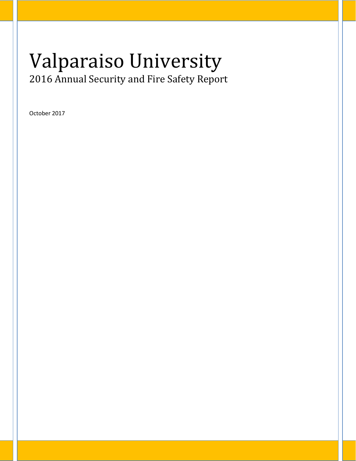# Valparaiso University 2016 Annual Security and Fire Safety Report

October 2017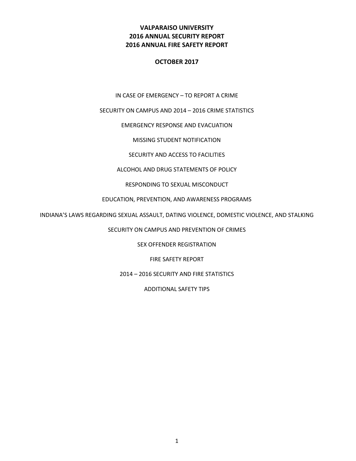# **VALPARAISO UNIVERSITY 2016 ANNUAL SECURITY REPORT 2016 ANNUAL FIRE SAFETY REPORT**

#### **OCTOBER 2017**

IN CASE OF EMERGENCY – TO REPORT A CRIME

SECURITY ON CAMPUS AND 2014 – 2016 CRIME STATISTICS

#### EMERGENCY RESPONSE AND EVACUATION

MISSING STUDENT NOTIFICATION

SECURITY AND ACCESS TO FACILITIES

#### ALCOHOL AND DRUG STATEMENTS OF POLICY

#### RESPONDING TO SEXUAL MISCONDUCT

#### EDUCATION, PREVENTION, AND AWARENESS PROGRAMS

INDIANA'S LAWS REGARDING SEXUAL ASSAULT, DATING VIOLENCE, DOMESTIC VIOLENCE, AND STALKING

SECURITY ON CAMPUS AND PREVENTION OF CRIMES

SEX OFFENDER REGISTRATION

FIRE SAFETY REPORT

2014 – 2016 SECURITY AND FIRE STATISTICS

ADDITIONAL SAFETY TIPS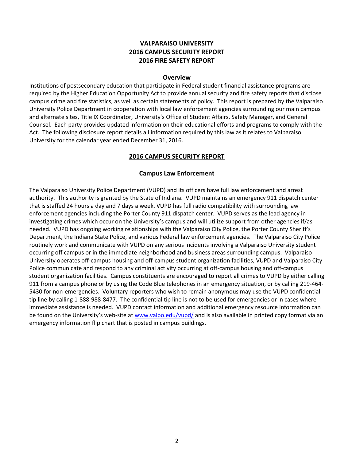# **VALPARAISO UNIVERSITY 2016 CAMPUS SECURITY REPORT 2016 FIRE SAFETY REPORT**

#### **Overview**

Institutions of postsecondary education that participate in Federal student financial assistance programs are required by the Higher Education Opportunity Act to provide annual security and fire safety reports that disclose campus crime and fire statistics, as well as certain statements of policy. This report is prepared by the Valparaiso University Police Department in cooperation with local law enforcement agencies surrounding our main campus and alternate sites, Title IX Coordinator, University's Office of Student Affairs, Safety Manager, and General Counsel. Each party provides updated information on their educational efforts and programs to comply with the Act. The following disclosure report details all information required by this law as it relates to Valparaiso University for the calendar year ended December 31, 2016.

#### **2016 CAMPUS SECURITY REPORT**

#### **Campus Law Enforcement**

The Valparaiso University Police Department (VUPD) and its officers have full law enforcement and arrest authority. This authority is granted by the State of Indiana. VUPD maintains an emergency 911 dispatch center that is staffed 24 hours a day and 7 days a week. VUPD has full radio compatibility with surrounding law enforcement agencies including the Porter County 911 dispatch center. VUPD serves as the lead agency in investigating crimes which occur on the University's campus and will utilize support from other agencies if/as needed. VUPD has ongoing working relationships with the Valparaiso City Police, the Porter County Sheriff's Department, the Indiana State Police, and various Federal law enforcement agencies. The Valparaiso City Police routinely work and communicate with VUPD on any serious incidents involving a Valparaiso University student occurring off campus or in the immediate neighborhood and business areas surrounding campus. Valparaiso University operates off-campus housing and off-campus student organization facilities, VUPD and Valparaiso City Police communicate and respond to any criminal activity occurring at off-campus housing and off-campus student organization facilities. Campus constituents are encouraged to report all crimes to VUPD by either calling 911 from a campus phone or by using the Code Blue telephones in an emergency situation, or by calling 219-464- 5430 for non-emergencies. Voluntary reporters who wish to remain anonymous may use the VUPD confidential tip line by calling 1-888-988-8477. The confidential tip line is not to be used for emergencies or in cases where immediate assistance is needed. VUPD contact information and additional emergency resource information can be found on the University's web-site a[t www.valpo.edu/vupd/](http://www.valpo.edu/vupd/) and is also available in printed copy format via an emergency information flip chart that is posted in campus buildings.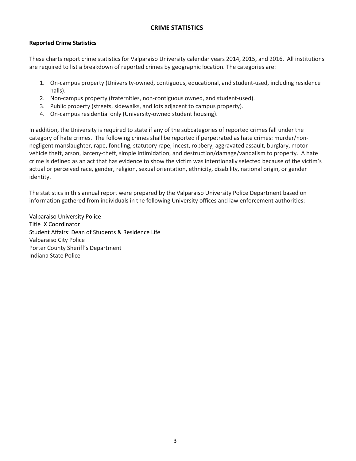#### **CRIME STATISTICS**

#### **Reported Crime Statistics**

These charts report crime statistics for Valparaiso University calendar years 2014, 2015, and 2016. All institutions are required to list a breakdown of reported crimes by geographic location. The categories are:

- 1. On-campus property (University-owned, contiguous, educational, and student-used, including residence halls).
- 2. Non-campus property (fraternities, non-contiguous owned, and student-used).
- 3. Public property (streets, sidewalks, and lots adjacent to campus property).
- 4. On-campus residential only (University-owned student housing).

In addition, the University is required to state if any of the subcategories of reported crimes fall under the category of hate crimes. The following crimes shall be reported if perpetrated as hate crimes: murder/nonnegligent manslaughter, rape, fondling, statutory rape, incest, robbery, aggravated assault, burglary, motor vehicle theft, arson, larceny-theft, simple intimidation, and destruction/damage/vandalism to property. A hate crime is defined as an act that has evidence to show the victim was intentionally selected because of the victim's actual or perceived race, gender, religion, sexual orientation, ethnicity, disability, national origin, or gender identity.

The statistics in this annual report were prepared by the Valparaiso University Police Department based on information gathered from individuals in the following University offices and law enforcement authorities:

Valparaiso University Police Title IX Coordinator Student Affairs: Dean of Students & Residence Life Valparaiso City Police Porter County Sheriff's Department Indiana State Police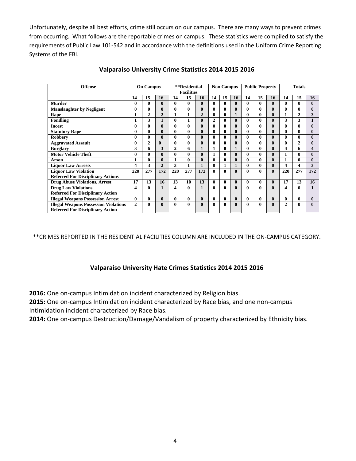Unfortunately, despite all best efforts, crime still occurs on our campus. There are many ways to prevent crimes from occurring. What follows are the reportable crimes on campus. These statistics were compiled to satisfy the requirements of Public Law 101-542 and in accordance with the definitions used in the Uniform Crime Reporting Systems of the FBI.

| <b>Offense</b>                               | <b>On Campus</b> |              |                | **Residential<br><b>Facilities</b> |              | <b>Non Campus</b> |              | <b>Public Property</b> |              | <b>Totals</b> |          |              |              |                |              |
|----------------------------------------------|------------------|--------------|----------------|------------------------------------|--------------|-------------------|--------------|------------------------|--------------|---------------|----------|--------------|--------------|----------------|--------------|
|                                              | 14               | 15           | 16             | 14                                 | 15           | 16                | 14           | 15                     | 16           | 14            | 15       | 16           | 14           | 15             | 16           |
| <b>Murder</b>                                | 0                | 0            | $\mathbf{0}$   | 0                                  | 0            | $\mathbf{0}$      | 0            | 0                      | $\mathbf{0}$ | 0             | $\bf{0}$ | $\bf{0}$     | 0            | 0              | $\mathbf{0}$ |
| <b>Manslaughter by Negligent</b>             | 0                | 0            | $\mathbf{0}$   | 0                                  | $\mathbf{0}$ | $\bf{0}$          | $\bf{0}$     | 0                      | $\mathbf{0}$ | 0             | $\bf{0}$ | $\bf{0}$     | $\mathbf{0}$ | 0              | $\mathbf{0}$ |
| Rape                                         | 1                | $\mathbf{2}$ | $\overline{2}$ | 1                                  | $\mathbf{1}$ | $\overline{2}$    | 0            | 0                      | $\mathbf{1}$ | 0             | $\bf{0}$ | $\bf{0}$     | $\mathbf{1}$ | $\mathbf{2}$   | 3            |
| Fondling                                     |                  | 3            | 1              | 0                                  | 1            | $\bf{0}$          | 2            | 0                      | $\mathbf{0}$ | 0             | $\bf{0}$ | $\bf{0}$     | 3            | 3              |              |
| <b>Incest</b>                                | 0                | 0            | $\mathbf{0}$   | 0                                  | $\bf{0}$     | $\mathbf{0}$      | 0            | 0                      | $\mathbf{0}$ | 0             | $\bf{0}$ | $\mathbf{0}$ | $\mathbf{0}$ | 0              | $\mathbf{0}$ |
| <b>Statutory Rape</b>                        | 0                | 0            | $\mathbf{0}$   | 0                                  | $\bf{0}$     | $\mathbf{0}$      | 0            | 0                      | $\mathbf{0}$ | 0             | $\bf{0}$ | $\bf{0}$     | $\mathbf{0}$ | 0              | $\mathbf{0}$ |
| <b>Robbery</b>                               | 0                | 0            | $\mathbf{0}$   | 0                                  | $\mathbf{0}$ | $\bf{0}$          | $\bf{0}$     | 0                      | $\mathbf{0}$ | 0             | $\bf{0}$ | $\bf{0}$     | $\mathbf{0}$ | 0              | $\mathbf{0}$ |
| <b>Aggravated Assault</b>                    | 0                | $\mathbf{2}$ | $\mathbf{0}$   | 0                                  | $\bf{0}$     | $\mathbf{0}$      | $\mathbf{0}$ | 0                      | $\mathbf{0}$ | 0             | $\bf{0}$ | $\bf{0}$     | $\mathbf{0}$ | $\overline{c}$ | $\mathbf{0}$ |
| <b>Burglary</b>                              | 3                | 6            | 3              | $\mathbf{2}$                       | 6            | $\mathbf{1}$      | 1            | 0                      | $\mathbf{1}$ | 0             | $\bf{0}$ | $\bf{0}$     | 4            | 6              | 4            |
| <b>Motor Vehicle Theft</b>                   | 0                | 0            | $\mathbf{0}$   | $\mathbf{0}$                       | 0            | $\mathbf{0}$      | 1            | 0                      | $\mathbf{0}$ | 0             | $\bf{0}$ | $\bf{0}$     | $\mathbf{1}$ | 0              | $\mathbf{0}$ |
| <b>Arson</b>                                 |                  | 0            | $\bf{0}$       |                                    | $\mathbf{0}$ | $\bf{0}$          | 0            | 0                      | $\mathbf{0}$ | 0             | $\bf{0}$ | $\bf{0}$     | 1            | 0              | $\mathbf{0}$ |
| <b>Liquor Law Arrests</b>                    | 4                | 3            | $\overline{2}$ | 3                                  | 1            | $\mathbf{1}$      | 0            |                        |              | 0             | $\bf{0}$ | $\bf{0}$     | 4            | 4              | 3            |
| <b>Liquor Law Violation</b>                  | 220              | 277          | 172            | 220                                | 277          | 172               | 0            | 0                      | $\mathbf{0}$ | 0             | 0        | $\mathbf{0}$ | 220          | 277            | 172          |
| <b>Referred For Disciplinary Actions</b>     |                  |              |                |                                    |              |                   |              |                        |              |               |          |              |              |                |              |
| <b>Drug Abuse Violations, Arrest</b>         | 17               | 13           | 16             | 13                                 | 10           | 13                | 0            | $\mathbf{0}$           | $\bf{0}$     | 0             | $\bf{0}$ | $\bf{0}$     | 17           | 13             | 16           |
| <b>Drug Law Violations</b>                   | 4                | 0            | 1              | 4                                  | $\bf{0}$     | $\mathbf{1}$      | 0            | 0                      | $\mathbf{0}$ | 0             | $\bf{0}$ | $\bf{0}$     | 4            | 0              | $\mathbf{1}$ |
| <b>Referred For Disciplinary Action</b>      |                  |              |                |                                    |              |                   |              |                        |              |               |          |              |              |                |              |
| <b>Illegal Weapons Possession Arrest</b>     | 0                | 0            | $\mathbf{0}$   | 0                                  | $\bf{0}$     | $\bf{0}$          | 0            | 0                      | $\bf{0}$     | 0             | $\bf{0}$ | $\bf{0}$     | $\mathbf{0}$ | 0              | $\mathbf{0}$ |
| <b>Illegal Weapons Possession Violations</b> | $\overline{2}$   | 0            | $\mathbf{0}$   | 0                                  | $\bf{0}$     | $\mathbf{0}$      | 0            | 0                      | $\mathbf{0}$ | 0             | $\bf{0}$ | $\bf{0}$     | $\mathbf{2}$ | 0              | $\mathbf{0}$ |
| <b>Referred For Disciplinary Action</b>      |                  |              |                |                                    |              |                   |              |                        |              |               |          |              |              |                |              |

#### **Valparaiso University Crime Statistics 2014 2015 2016**

\*\*CRIMES REPORTED IN THE RESIDENTIAL FACILITIES COLUMN ARE INCLUDED IN THE ON-CAMPUS CATEGORY.

# **Valparaiso University Hate Crimes Statistics 2014 2015 2016**

**2016:** One on-campus Intimidation incident characterized by Religion bias.

**2015:** One on-campus Intimidation incident characterized by Race bias, and one non-campus Intimidation incident characterized by Race bias.

**2014:** One on-campus Destruction/Damage/Vandalism of property characterized by Ethnicity bias.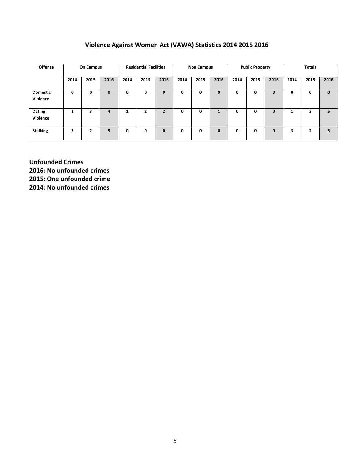# **Violence Against Women Act (VAWA) Statistics 2014 2015 2016**

| <b>Offense</b>              | <b>On Campus</b> |      | <b>Residential Facilities</b> |      | <b>Non Campus</b> |                |      | <b>Public Property</b> |      |      | <b>Totals</b> |              |      |      |      |
|-----------------------------|------------------|------|-------------------------------|------|-------------------|----------------|------|------------------------|------|------|---------------|--------------|------|------|------|
|                             | 2014             | 2015 | 2016                          | 2014 | 2015              | 2016           | 2014 | 2015                   | 2016 | 2014 | 2015          | 2016         | 2014 | 2015 | 2016 |
| <b>Domestic</b><br>Violence | 0                | 0    |                               | 0    | 0                 | $\mathbf 0$    | 0    | 0                      | 0    | 0    | 0             | 0            | 0    | 0    | 0    |
| Dating<br>Violence          |                  | 3    | 4                             |      | ־                 | $\overline{2}$ | 0    | 0                      |      | 0    | 0             | 0            | 1    | 3    | 5    |
| <b>Stalking</b>             | 3                | ∍    | 5                             | 0    | 0                 | $\mathbf{0}$   | 0    | 0                      | 0    | 0    | 0             | $\mathbf{0}$ | 3    | 2    | 5    |

**Unfounded Crimes 2016: No unfounded crimes 2015: One unfounded crime 2014: No unfounded crimes**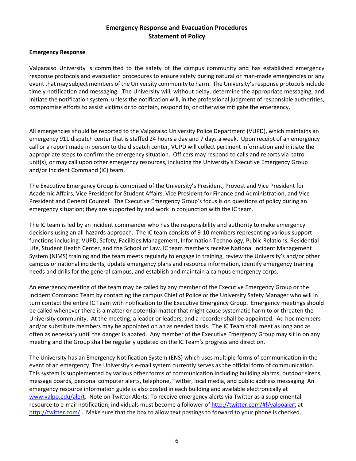# **Emergency Response and Evacuation Procedures Statement of Policy**

#### **Emergency Response**

Valparaiso University is committed to the safety of the campus community and has established emergency response protocols and evacuation procedures to ensure safety during natural or man-made emergencies or any event that may subject members of the University community to harm. The University's response protocols include timely notification and messaging. The University will, without delay, determine the appropriate messaging, and initiate the notification system, unless the notification will, in the professional judgment of responsible authorities, compromise efforts to assist victims or to contain, respond to, or otherwise mitigate the emergency.

All emergencies should be reported to the Valparaiso University Police Department (VUPD), which maintains an emergency 911 dispatch center that is staffed 24 hours a day and 7 days a week. Upon receipt of an emergency call or a report made in person to the dispatch center, VUPD will collect pertinent information and initiate the appropriate steps to confirm the emergency situation. Officers may respond to calls and reports via patrol unit(s), or may call upon other emergency resources, including the University's Executive Emergency Group and/or Incident Command (IC) team.

The Executive Emergency Group is comprised of the University's President, Provost and Vice President for Academic Affairs, Vice President for Student Affairs, Vice President for Finance and Administration, and Vice President and General Counsel. The Executive Emergency Group's focus is on questions of policy during an emergency situation; they are supported by and work in conjunction with the IC team.

The IC team is led by an incident commander who has the responsibility and authority to make emergency decisions using an all-hazards approach. The IC team consists of 9-10 members representing various support functions including: VUPD, Safety, Facilities Management, Information Technology, Public Relations, Residential Life, Student Health Center, and the School of Law. IC team members receive National Incident Management System (NIMS) training and the team meets regularly to engage in training, review the University's and/or other campus or national incidents, update emergency plans and resource information, identify emergency training needs and drills for the general campus, and establish and maintain a campus emergency corps.

An emergency meeting of the team may be called by any member of the Executive Emergency Group or the Incident Command Team by contacting the campus Chief of Police or the University Safety Manager who will in turn contact the entire IC Team with notification to the Executive Emergency Group. Emergency meetings should be called whenever there is a matter or potential matter that might cause systematic harm to or threaten the University community. At the meeting, a leader or leaders, and a recorder shall be appointed. Ad hoc members and/or substitute members may be appointed on an as needed basis. The IC Team shall meet as long and as often as necessary until the danger is abated. Any member of the Executive Emergency Group may sit in on any meeting and the Group shall be regularly updated on the IC Team's progress and direction.

The University has an Emergency Notification System (ENS) which uses multiple forms of communication in the event of an emergency. The University's e-mail system currently serves as the official form of communication. This system is supplemented by various other forms of communication including building alarms, outdoor sirens, message boards, personal computer alerts, telephone, Twitter, local media, and public address messaging. An emergency resource information guide is also posted in each building and available electronically at [www.valpo.edu/alert.](http://www.valpo.edu/alert) Note on Twitter Alerts: To receive emergency alerts via Twitter as a supplemental resource to e-mail notification, individuals must become a follower of [http://twitter.com/#!/valpoalert](http://twitter.com/%23!/valpoalert) at <http://twitter.com/>. Make sure that the box to allow text postings to forward to your phone is checked.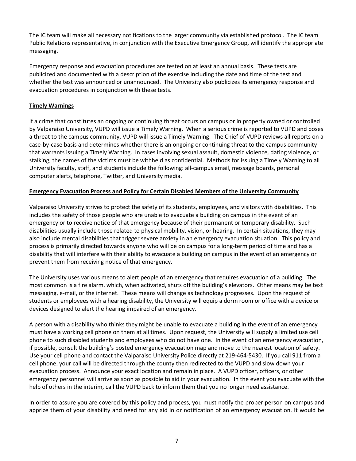The IC team will make all necessary notifications to the larger community via established protocol. The IC team Public Relations representative, in conjunction with the Executive Emergency Group, will identify the appropriate messaging.

Emergency response and evacuation procedures are tested on at least an annual basis. These tests are publicized and documented with a description of the exercise including the date and time of the test and whether the test was announced or unannounced. The University also publicizes its emergency response and evacuation procedures in conjunction with these tests.

#### **Timely Warnings**

If a crime that constitutes an ongoing or continuing threat occurs on campus or in property owned or controlled by Valparaiso University, VUPD will issue a Timely Warning. When a serious crime is reported to VUPD and poses a threat to the campus community, VUPD will issue a Timely Warning. The Chief of VUPD reviews all reports on a case-by-case basis and determines whether there is an ongoing or continuing threat to the campus community that warrants issuing a Timely Warning. In cases involving sexual assault, domestic violence, dating violence, or stalking, the names of the victims must be withheld as confidential. Methods for issuing a Timely Warning to all University faculty, staff, and students include the following: all-campus email, message boards, personal computer alerts, telephone, Twitter, and University media.

#### **Emergency Evacuation Process and Policy for Certain Disabled Members of the University Community**

Valparaiso University strives to protect the safety of its students, employees, and visitors with disabilities. This includes the safety of those people who are unable to evacuate a building on campus in the event of an emergency or to receive notice of that emergency because of their permanent or temporary disability. Such disabilities usually include those related to physical mobility, vision, or hearing. In certain situations, they may also include mental disabilities that trigger severe anxiety in an emergency evacuation situation. This policy and process is primarily directed towards anyone who will be on campus for a long-term period of time and has a disability that will interfere with their ability to evacuate a building on campus in the event of an emergency or prevent them from receiving notice of that emergency.

The University uses various means to alert people of an emergency that requires evacuation of a building. The most common is a fire alarm, which, when activated, shuts off the building's elevators. Other means may be text messaging, e-mail, or the internet. These means will change as technology progresses. Upon the request of students or employees with a hearing disability, the University will equip a dorm room or office with a device or devices designed to alert the hearing impaired of an emergency.

A person with a disability who thinks they might be unable to evacuate a building in the event of an emergency must have a working cell phone on them at all times. Upon request, the University will supply a limited use cell phone to such disabled students and employees who do not have one. In the event of an emergency evacuation, if possible, consult the building's posted emergency evacuation map and move to the nearest location of safety. Use your cell phone and contact the Valparaiso University Police directly at 219-464-5430. If you call 911 from a cell phone, your call will be directed through the county then redirected to the VUPD and slow down your evacuation process. Announce your exact location and remain in place. A VUPD officer, officers, or other emergency personnel will arrive as soon as possible to aid in your evacuation. In the event you evacuate with the help of others in the interim, call the VUPD back to inform them that you no longer need assistance.

In order to assure you are covered by this policy and process, you must notify the proper person on campus and apprize them of your disability and need for any aid in or notification of an emergency evacuation. It would be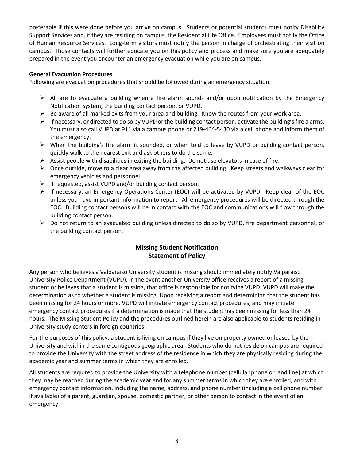preferable if this were done before you arrive on campus. Students or potential students must notify Disability Support Services and, if they are residing on campus, the Residential Life Office. Employees must notify the Office of Human Resource Services. Long-term visitors must notify the person in charge of orchestrating their visit on campus. Those contacts will further educate you on this policy and process and make sure you are adequately prepared in the event you encounter an emergency evacuation while you are on campus.

#### **General Evacuation Procedures**

Following are evacuation procedures that should be followed during an emergency situation:

- $\triangleright$  All are to evacuate a building when a fire alarm sounds and/or upon notification by the Emergency Notification System, the building contact person, or VUPD.
- $\triangleright$  Be aware of all marked exits from your area and building. Know the routes from your work area.
- $\triangleright$  If necessary, or directed to do so by VUPD or the building contact person, activate the building's fire alarms. You must also call VUPD at 911 via a campus phone or 219-464-5430 via a cell phone and inform them of the emergency.
- $\triangleright$  When the building's fire alarm is sounded, or when told to leave by VUPD or building contact person, quickly walk to the nearest exit and ask others to do the same.
- $\triangleright$  Assist people with disabilities in exiting the building. Do not use elevators in case of fire.
- $\triangleright$  Once outside, move to a clear area away from the affected building. Keep streets and walkways clear for emergency vehicles and personnel.
- $\triangleright$  If requested, assist VUPD and/or building contact person.
- $\triangleright$  If necessary, an Emergency Operations Center (EOC) will be activated by VUPD. Keep clear of the EOC unless you have important information to report. All emergency procedures will be directed through the EOC. Building contact persons will be in contact with the EOC and communications will flow through the building contact person.
- $\triangleright$  Do not return to an evacuated building unless directed to do so by VUPD, fire department personnel, or the building contact person.

# **Missing Student Notification Statement of Policy**

Any person who believes a Valparaiso University student is missing should immediately notify Valparaiso University Police Department (VUPD). In the event another University office receives a report of a missing student or believes that a student is missing, that office is responsible for notifying VUPD. VUPD will make the determination as to whether a student is missing. Upon receiving a report and determining that the student has been missing for 24 hours or more, VUPD will initiate emergency contact procedures, and may initiate emergency contact procedures if a determination is made that the student has been missing for less than 24 hours. The Missing Student Policy and the procedures outlined herein are also applicable to students residing in University study centers in foreign countries.

For the purposes of this policy, a student is living on campus if they live on property owned or leased by the University and within the same contiguous geographic area. Students who do not reside on campus are required to provide the University with the street address of the residence in which they are physically residing during the academic year and summer terms in which they are enrolled.

All students are required to provide the University with a telephone number (cellular phone or land line) at which they may be reached during the academic year and for any summer terms in which they are enrolled, and with emergency contact information, including the name, address, and phone number (including a cell phone number if available) of a parent, guardian, spouse, domestic partner, or other person to contact in the event of an emergency.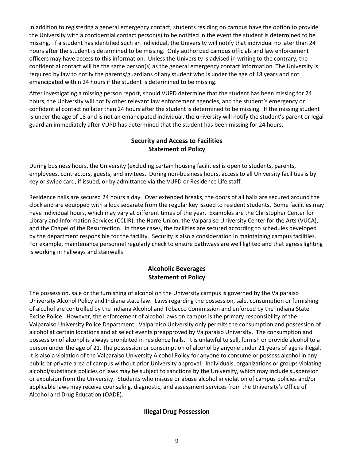In addition to registering a general emergency contact, students residing on campus have the option to provide the University with a confidential contact person(s) to be notified in the event the student is determined to be missing. If a student has identified such an individual, the University will notify that individual no later than 24 hours after the student is determined to be missing. Only authorized campus officials and law enforcement officers may have access to this information. Unless the University is advised in writing to the contrary, the confidential contact will be the same person(s) as the general emergency contact information. The University is required by law to notify the parents/guardians of any student who is under the age of 18 years and not emancipated within 24 hours if the student is determined to be missing.

After investigating a missing person report, should VUPD determine that the student has been missing for 24 hours, the University will notify other relevant law enforcement agencies, and the student's emergency or confidential contact no later than 24 hours after the student is determined to be missing. If the missing student is under the age of 18 and is not an emancipated individual, the university will notify the student's parent or legal guardian immediately after VUPD has determined that the student has been missing for 24 hours.

# **Security and Access to Facilities Statement of Policy**

During business hours, the University (excluding certain housing facilities) is open to students, parents, employees, contractors, guests, and invitees. During non-business hours, access to all University facilities is by key or swipe card, if issued, or by admittance via the VUPD or Residence Life staff.

Residence halls are secured 24 hours a day. Over extended breaks, the doors of all halls are secured around the clock and are equipped with a lock separate from the regular key issued to resident students. Some facilities may have individual hours, which may vary at different times of the year. Examples are the Christopher Center for Library and Information Services (CCLIR), the Harre Union, the Valparaiso University Center for the Arts (VUCA), and the Chapel of the Resurrection. In these cases, the facilities are secured according to schedules developed by the department responsible for the facility. Security is also a consideration in maintaining campus facilities. For example, maintenance personnel regularly check to ensure pathways are well lighted and that egress lighting is working in hallways and stairwells

# **Alcoholic Beverages Statement of Policy**

The possession, sale or the furnishing of alcohol on the University campus is governed by the Valparaiso University Alcohol Policy and Indiana state law. Laws regarding the possession, sale, consumption or furnishing of alcohol are controlled by the Indiana Alcohol and Tobacco Commission and enforced by the Indiana State Excise Police. However, the enforcement of alcohol laws on campus is the primary responsibility of the Valparaiso University Police Department. Valparaiso University only permits the consumption and possession of alcohol at certain locations and at select events preapproved by Valparaiso University. The consumption and possession of alcohol is always prohibited in residence halls. It is unlawful to sell, furnish or provide alcohol to a person under the age of 21. The possession or consumption of alcohol by anyone under 21 years of age is illegal. It is also a violation of the Valparaiso University Alcohol Policy for anyone to consume or possess alcohol in any public or private area of campus without prior University approval. Individuals, organizations or groups violating alcohol/substance policies or laws may be subject to sanctions by the University, which may include suspension or expulsion from the University. Students who misuse or abuse alcohol in violation of campus policies and/or applicable laws may receive counseling, diagnostic, and assessment services from the University's Office of Alcohol and Drug Education (OADE).

# **Illegal Drug Possession**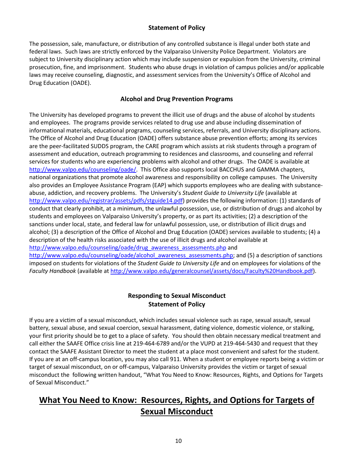# **Statement of Policy**

The possession, sale, manufacture, or distribution of any controlled substance is illegal under both state and federal laws. Such laws are strictly enforced by the Valparaiso University Police Department. Violators are subject to University disciplinary action which may include suspension or expulsion from the University, criminal prosecution, fine, and imprisonment. Students who abuse drugs in violation of campus policies and/or applicable laws may receive counseling, diagnostic, and assessment services from the University's Office of Alcohol and Drug Education (OADE).

# **Alcohol and Drug Prevention Programs**

The University has developed programs to prevent the illicit use of drugs and the abuse of alcohol by students and employees. The programs provide services related to drug use and abuse including dissemination of informational materials, educational programs, counseling services, referrals, and University disciplinary actions. The Office of Alcohol and Drug Education (OADE) offers substance abuse prevention efforts; among its services are the peer-facilitated SUDDS program, the CARE program which assists at risk students through a program of assessment and education, outreach programming to residences and classrooms, and counseling and referral services for students who are experiencing problems with alcohol and other drugs. The OADE is available at [http://www.valpo.edu/counseling/oade/.](http://www.valpo.edu/counseling/oade/) This Office also supports local BACCHUS and GAMMA chapters, national organizations that promote alcohol awareness and responsibility on college campuses. The University also provides an Employee Assistance Program (EAP) which supports employees who are dealing with substanceabuse, addiction, and recovery problems. The University's *Student Guide to University Life* (available at [http://www.valpo.edu/registrar/assets/pdfs/stguide14.pdf\)](http://www.valpo.edu/registrar/assets/pdfs/stguide14.pdf) provides the following information: (1) standards of conduct that clearly prohibit, at a minimum, the unlawful possession, use, or distribution of drugs and alcohol by students and employees on Valparaiso University's property, or as part its activities; (2) a description of the sanctions under local, state, and federal law for unlawful possession, use, or distribution of illicit drugs and alcohol; (3) a description of the Office of Alcohol and Drug Education (OADE) services available to students; (4) a description of the health risks associated with the use of illicit drugs and alcohol available at [http://www.valpo.edu/counseling/oade/drug\\_awareness\\_assessments.php](http://www.valpo.edu/counseling/oade/drug_awareness_assessments.php) and [http://www.valpo.edu/counseling/oade/alcohol\\_awareness\\_assessments.php;](http://www.valpo.edu/counseling/oade/alcohol_awareness_assessments.php) and (5) a description of sanctions

imposed on students for violations of the *Student Guide to University Life* and on employees for violations of the *Faculty Handbook* (available at [http://www.valpo.edu/generalcounsel/assets/docs/Faculty%20Handbook.pdf\)](http://www.valpo.edu/generalcounsel/assets/docs/Faculty%20Handbook.pdf).

# **Responding to Sexual Misconduct Statement of Policy**

If you are a victim of a sexual misconduct, which includes sexual violence such as rape, sexual assault, sexual battery, sexual abuse, and sexual coercion, sexual harassment, dating violence, domestic violence, or stalking, your first priority should be to get to a place of safety. You should then obtain necessary medical treatment and call either the SAAFE Office crisis line at 219-464-6789 and/or the VUPD at 219-464-5430 and request that they contact the SAAFE Assistant Director to meet the student at a place most convenient and safest for the student. If you are at an off-campus location, you may also call 911. When a student or employee reports being a victim or target of sexual misconduct, on or off-campus, Valparaiso University provides the victim or target of sexual misconduct the following written handout, "What You Need to Know: Resources, Rights, and Options for Targets of Sexual Misconduct."

# **What You Need to Know: Resources, Rights, and Options for Targets of Sexual Misconduct**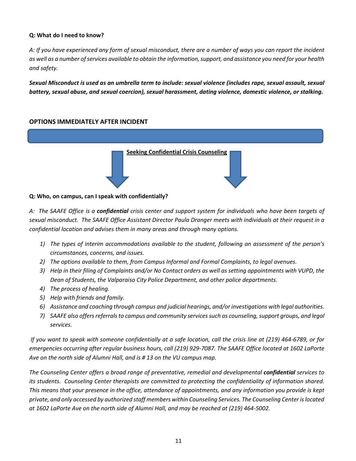#### **Q: What do I need to know?**

*A: If you have experienced any form of sexual misconduct, there are a number of ways you can report the incident as well as a number of services available to obtain the information, support, and assistance you need for your health and safety.*

*Sexual Misconduct is used as an umbrella term to include: sexual violence (includes rape, sexual assault, sexual battery, sexual abuse, and sexual coercion), sexual harassment, dating violence, domestic violence, or stalking.* 

#### **OPTIONS IMMEDIATELY AFTER INCIDENT**



#### **Q: Who, on campus, can I speak with confidentially?**

*A: The SAAFE Office is a confidential crisis center and support system for individuals who have been targets of sexual misconduct. The SAAFE Office Assistant Director Paula Dranger meets with individuals at their request in a confidential location and advises them in many areas and through many options.* 

- *1) The types of interim accommodations available to the student, following an assessment of the person's circumstances, concerns, and issues.*
- *2) The options available to them, from Campus Informal and Formal Complaints, to legal avenues.*
- *3) Help in their filing of Complaints and/or No Contact orders as well as setting appointments with VUPD, the Dean of Students, the Valparaiso City Police Department, and other police departments.*
- *4) The process of healing.*
- *5) Help with friends and family.*
- *6) Assistance and coaching through campus and judicial hearings, and/or investigations with legal authorities.*
- *7) SAAFE also offers referrals to campus and community services such as counseling, support groups, and legal services.*

*If you want to speak with someone confidentially at a safe location, call the crisis line at (219) 464-6789, or for emergencies occurring after regular business hours, call (219) 929-7087. The SAAFE Office located at 1602 LaPorte Ave on the north side of Alumni Hall, and is # 13 on the VU campus map.*

*The Counseling Center offers a broad range of preventative, remedial and developmental confidential services to its students. Counseling Center therapists are committed to protecting the confidentiality of information shared. This means that your presence in the office, attendance of appointments, and any information you provide is kept private, and only accessed by authorized staff members within Counseling Services. The Counseling Center is located at 1602 LaPorte Ave on the north side of Alumni Hall, and may be reached at (219) 464-5002.*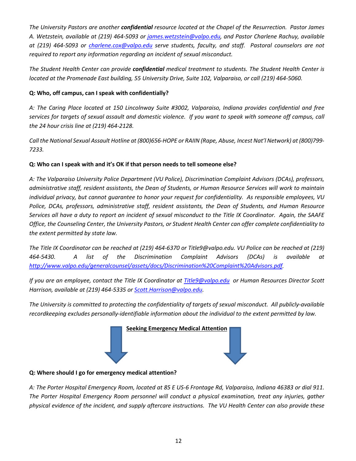*The University Pastors are another confidential resource located at the Chapel of the Resurrection. Pastor James A. Wetzstein, available at (219) 464-5093 or [james.wetzstein@valpo.edu,](mailto:james.wetzstein@valpo.edu) and Pastor Charlene Rachuy, available at (219) 464-5093 or [charlene.cox@valpo.edu](mailto:charlene.cox@valpo.edu) serve students, faculty, and staff. Pastoral counselors are not required to report any information regarding an incident of sexual misconduct.* 

*The Student Health Center can provide confidential medical treatment to students. The Student Health Center is located at the Promenade East building, 55 University Drive, Suite 102, Valparaiso, or call (219) 464-5060.*

# **Q: Who, off campus, can I speak with confidentially?**

*A: The Caring Place located at 150 Lincolnway Suite #3002, Valparaiso, Indiana provides confidential and free services for targets of sexual assault and domestic violence. If you want to speak with someone off campus, call the 24 hour crisis line at (219) 464-2128.* 

*Call the National Sexual Assault Hotline at (800)656-HOPE or RAIIN (Rape, Abuse, Incest Nat'l Network) at (800)799- 7233.* 

# **Q: Who can I speak with and it's OK if that person needs to tell someone else?**

*A: The Valparaiso University Police Department (VU Police), Discrimination Complaint Advisors (DCAs), professors, administrative staff, resident assistants, the Dean of Students, or Human Resource Services will work to maintain individual privacy, but cannot guarantee to honor your request for confidentiality. As responsible employees, VU Police, DCAs, professors, administrative staff, resident assistants, the Dean of Students, and Human Resource Services all have a duty to report an incident of sexual misconduct to the Title IX Coordinator. Again, the SAAFE Office, the Counseling Center, the University Pastors, or Student Health Center can offer complete confidentiality to the extent permitted by state law.*

*The Title IX Coordinator can be reached at (219) 464-6370 or Title9@valpo.edu. VU Police can be reached at (219) 464-5430. A list of the Discrimination Complaint Advisors (DCAs) is available at [http://www.valpo.edu/generalcounsel/assets/docs/Discrimination%20Complaint%20Advisors.pdf.](http://www.valpo.edu/generalcounsel/assets/docs/Discrimination%20Complaint%20Advisors.pdf)* 

*If you are an employee, contact the Title IX Coordinator at [Title9@valpo.edu](mailto:Title9@valpo.edu) or Human Resources Director Scott Harrison, available at (219) 464-5335 or [Scott.Harrison@valpo.edu.](mailto:Scott.Harrison@valpo.edu)* 

*The University is committed to protecting the confidentiality of targets of sexual misconduct. All publicly-available recordkeeping excludes personally-identifiable information about the individual to the extent permitted by law.*



#### **Q: Where should I go for emergency medical attention?**

*A: The Porter Hospital Emergency Room, located at 85 E US-6 Frontage Rd, Valparaiso, Indiana 46383 or dial 911. The Porter Hospital Emergency Room personnel will conduct a physical examination, treat any injuries, gather physical evidence of the incident, and supply aftercare instructions. The VU Health Center can also provide these*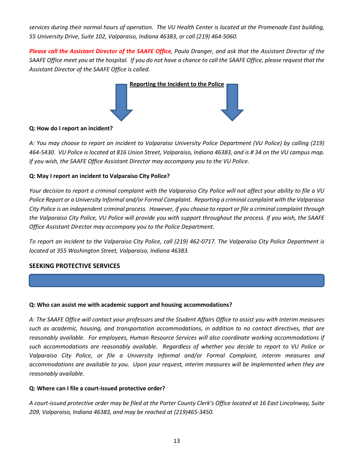*services during their normal hours of operation. The VU Health Center is located at the Promenade East building, 55 University Drive, Suite 102, Valparaiso, Indiana 46383, or call (219) 464-5060.* 

*Please call the Assistant Director of the SAAFE Office, Paula Dranger, and ask that the Assistant Director of the SAAFE Office meet you at the hospital. If you do not have a chance to call the SAAFE Office, please request that the Assistant Director of the SAAFE Office is called.* 



#### **Q: How do I report an incident?**

*A: You may choose to report an incident to Valparaiso University Police Department (VU Police) by calling (219) 464-5430. VU Police is located at 816 Union Street, Valparaiso, Indiana 46383, and is # 34 on the VU campus map. If you wish, the SAAFE Office Assistant Director may accompany you to the VU Police.* 

#### **Q: May I report an incident to Valparaiso City Police?**

*Your decision to report a criminal complaint with the Valparaiso City Police will not affect your ability to file a VU Police Report or a University Informal and/or Formal Complaint. Reporting a criminal complaint with the Valparaiso City Police is an independent criminal process. However, if you choose to report or file a criminal complaint through the Valparaiso City Police, VU Police will provide you with support throughout the process. If you wish, the SAAFE Office Assistant Director may accompany you to the Police Department.*

*To report an incident to the Valparaiso City Police, call (219) 462-0717. The Valparaiso City Police Department is located at 355 Washington Street, Valparaiso, Indiana 46383.* 

#### **SEEKING PROTECTIVE SERVICES**

#### **Q: Who can assist me with academic support and housing accommodations?**

*A: The SAAFE Office will contact your professors and the Student Affairs Office to assist you with interim measures such as academic, housing, and transportation accommodations, in addition to no contact directives, that are reasonably available. For employees, Human Resource Services will also coordinate working accommodations if such accommodations are reasonably available. Regardless of whether you decide to report to VU Police or Valparaiso City Police, or file a University Informal and/or Formal Complaint, interim measures and accommodations are available to you. Upon your request, interim measures will be implemented when they are reasonably available.*

#### **Q: Where can I file a court-issued protective order?**

*A court-issued protective order may be filed at the Porter County Clerk's Office located at 16 East Lincolnway, Suite 209, Valparaiso, Indiana 46383, and may be reached at (219)465-3450.*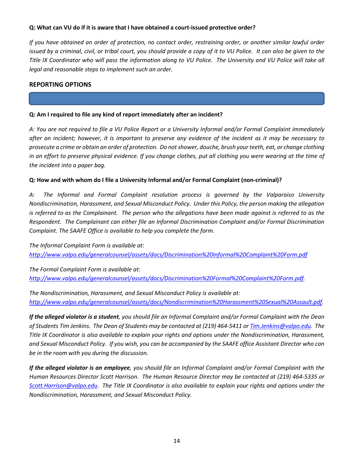#### **Q: What can VU do if it is aware that I have obtained a court-issued protective order?**

*If you have obtained an order of protection, no contact order, restraining order, or another similar lawful order issued by a criminal, civil, or tribal court, you should provide a copy of it to VU Police. It can also be given to the Title IX Coordinator who will pass the information along to VU Police. The University and VU Police will take all legal and reasonable steps to implement such an order.*

#### **REPORTING OPTIONS**

#### **Q: Am I required to file any kind of report immediately after an incident?**

*A: You are not required to file a VU Police Report or a University Informal and/or Formal Complaint immediately after an incident; however, it is important to preserve any evidence of the incident as it may be necessary to prosecute a crime or obtain an order of protection. Do not shower, douche, brush your teeth, eat, or change clothing in an effort to preserve physical evidence. If you change clothes, put all clothing you were wearing at the time of the incident into a paper bag.*

#### **Q: How and with whom do I file a University Informal and/or Formal Complaint (non-criminal)?**

*A: The Informal and Formal Complaint resolution process is governed by the Valparaiso University Nondiscrimination, Harassment, and Sexual Misconduct Policy. Under this Policy, the person making the allegation is referred to as the Complainant. The person who the allegations have been made against is referred to as the Respondent. The Complainant can either file an Informal Discrimination Complaint and/or Formal Discrimination Complaint. The SAAFE Office is available to help you complete the form.*

*The Informal Complaint Form is available at: <http://www.valpo.edu/generalcounsel/assets/docs/Discrimination%20Informal%20Complaint%20Form.pdf>*

*The Formal Complaint Form is available at: [http://www.valpo.edu/generalcounsel/assets/docs/Discrimination%20Formal%20Complaint%20Form.pdf.](http://www.valpo.edu/generalcounsel/assets/docs/Discrimination%20Formal%20Complaint%20Form.pdf)* 

*The Nondiscrimination, Harassment, and Sexual Misconduct Policy is available at: [http://www.valpo.edu/generalcounsel/assets/docs/Nondiscrimination%20Harassment%20Sexual%20Assault.pdf.](http://www.valpo.edu/generalcounsel/assets/docs/Nondiscrimination%20Harassment%20Sexual%20Assault.pdf)* 

*If the alleged violator is a student, you should file an Informal Complaint and/or Formal Complaint with the Dean of Students Tim Jenkins. The Dean of Students may be contacted at (219) 464-5411 or [Tim.Jenkins@valpo.edu.](mailto:Tim.Jenkins@valpo.edu) The Title IX Coordinator is also available to explain your rights and options under the Nondiscrimination, Harassment, and Sexual Misconduct Policy. If you wish, you can be accompanied by the SAAFE office Assistant Director who can be in the room with you during the discussion.*

*If the alleged violator is an employee, you should file an Informal Complaint and/or Formal Complaint with the Human Resources Director Scott Harrison. The Human Resource Director may be contacted at (219) 464-5335 or [Scott.Harrison@valpo.edu.](mailto:Scott.Harrison@valpo.edu) The Title IX Coordinator is also available to explain your rights and options under the Nondiscrimination, Harassment, and Sexual Misconduct Policy.*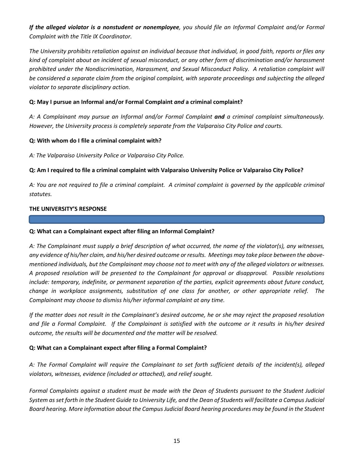*If the alleged violator is a nonstudent or nonemployee, you should file an Informal Complaint and/or Formal Complaint with the Title IX Coordinator.*

*The University prohibits retaliation against an individual because that individual, in good faith, reports or files any kind of complaint about an incident of sexual misconduct, or any other form of discrimination and/or harassment prohibited under the Nondiscrimination, Harassment, and Sexual Misconduct Policy. A retaliation complaint will be considered a separate claim from the original complaint, with separate proceedings and subjecting the alleged violator to separate disciplinary action.*

#### **Q: May I pursue an Informal and/or Formal Complaint** *and* **a criminal complaint?**

*A: A Complainant may pursue an Informal and/or Formal Complaint and a criminal complaint simultaneously. However, the University process is completely separate from the Valparaiso City Police and courts.* 

#### **Q: With whom do I file a criminal complaint with?**

*A: The Valparaiso University Police or Valparaiso City Police.*

#### **Q: Am I required to file a criminal complaint with Valparaiso University Police or Valparaiso City Police?**

*A: You are not required to file a criminal complaint. A criminal complaint is governed by the applicable criminal statutes.* 

#### **THE UNIVERSITY'S RESPONSE**

#### **Q: What can a Complainant expect after filing an Informal Complaint?**

*A: The Complainant must supply a brief description of what occurred, the name of the violator(s), any witnesses, any evidence of his/her claim, and his/her desired outcome or results. Meetings may take place between the abovementioned individuals, but the Complainant may choose not to meet with any of the alleged violators or witnesses. A proposed resolution will be presented to the Complainant for approval or disapproval. Possible resolutions include: temporary, indefinite, or permanent separation of the parties, explicit agreements about future conduct, change in workplace assignments, substitution of one class for another, or other appropriate relief. The Complainant may choose to dismiss his/her informal complaint at any time.*

*If the matter does not result in the Complainant's desired outcome, he or she may reject the proposed resolution*  and file a Formal Complaint. If the Complainant is satisfied with the outcome or it results in his/her desired *outcome, the results will be documented and the matter will be resolved.* 

#### **Q: What can a Complainant expect after filing a Formal Complaint?**

*A: The Formal Complaint will require the Complainant to set forth sufficient details of the incident(s), alleged violators, witnesses, evidence (included or attached), and relief sought.* 

*Formal Complaints against a student must be made with the Dean of Students pursuant to the Student Judicial System as set forth in the Student Guide to University Life, and the Dean of Students will facilitate a Campus Judicial Board hearing. More information about the Campus Judicial Board hearing procedures may be found in the Student*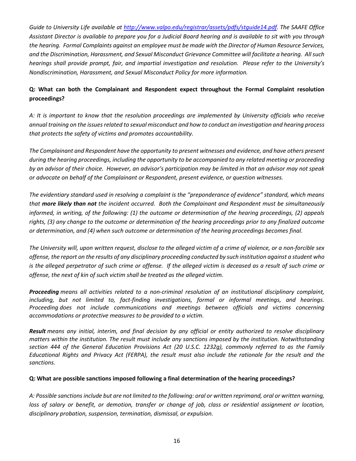*Guide to University Life available at [http://www.valpo.edu/registrar/assets/pdfs/stguide14.pdf.](http://www.valpo.edu/registrar/assets/pdfs/stguide14.pdf) The SAAFE Office Assistant Director is available to prepare you for a Judicial Board hearing and is available to sit with you through the hearing. Formal Complaints against an employee must be made with the Director of Human Resource Services, and the Discrimination, Harassment, and Sexual Misconduct Grievance Committee will facilitate a hearing. All such hearings shall provide prompt, fair, and impartial investigation and resolution. Please refer to the University's Nondiscrimination, Harassment, and Sexual Misconduct Policy for more information.* 

# **Q: What can both the Complainant and Respondent expect throughout the Formal Complaint resolution proceedings?**

*A: It is important to know that the resolution proceedings are implemented by University officials who receive annual training on the issues related to sexual misconduct and how to conduct an investigation and hearing process that protects the safety of victims and promotes accountability.*

*The Complainant and Respondent have the opportunity to present witnesses and evidence, and have others present during the hearing proceedings, including the opportunity to be accompanied to any related meeting or proceeding by an advisor of their choice. However, an advisor's participation may be limited in that an advisor may not speak or advocate on behalf of the Complainant or Respondent, present evidence, or question witnesses.*

*The evidentiary standard used in resolving a complaint is the "preponderance of evidence" standard, which means that more likely than not the incident occurred. Both the Complainant and Respondent must be simultaneously informed, in writing, of the following: (1) the outcome or determination of the hearing proceedings, (2) appeals rights, (3) any change to the outcome or determination of the hearing proceedings prior to any finalized outcome or determination, and (4) when such outcome or determination of the hearing proceedings becomes final.* 

*The University will, upon written request, disclose to the alleged victim of a crime of violence, or a non-forcible sex offense, the report on the results of any disciplinary proceeding conducted by such institution against a student who is the alleged perpetrator of such crime or offense. If the alleged victim is deceased as a result of such crime or offense, the next of kin of such victim shall be treated as the alleged victim.* 

*Proceeding means all activities related to a non-criminal resolution of an institutional disciplinary complaint, including, but not limited to, fact-finding investigations, formal or informal meetings, and hearings. Proceeding does not include communications and meetings between officials and victims concerning accommodations or protective measures to be provided to a victim.*

*Result means any initial, interim, and final decision by any official or entity authorized to resolve disciplinary matters within the institution. The result must include any sanctions imposed by the institution. Notwithstanding section 444 of the General Education Provisions Act (20 U.S.C. 1232g), commonly referred to as the Family Educational Rights and Privacy Act (FERPA), the result must also include the rationale for the result and the sanctions.*

#### **Q: What are possible sanctions imposed following a final determination of the hearing proceedings?**

*A: Possible sanctions include but are not limited to the following: oral or written reprimand, oral or written warning, loss of salary or benefit, or demotion, transfer or change of job, class or residential assignment or location, disciplinary probation, suspension, termination, dismissal, or expulsion.*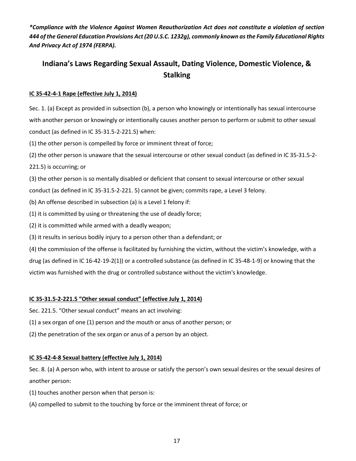*\*Compliance with the Violence Against Women Reauthorization Act does not constitute a violation of section 444 of the General Education Provisions Act (20 U.S.C. 1232g), commonly known as the Family Educational Rights And Privacy Act of 1974 (FERPA).* 

# **Indiana's Laws Regarding Sexual Assault, Dating Violence, Domestic Violence, & Stalking**

#### **IC 35-42-4-1 Rape (effective July 1, 2014)**

Sec. 1. (a) Except as provided in subsection (b), a person who knowingly or intentionally has sexual intercourse with another person or knowingly or intentionally causes another person to perform or submit to other sexual conduct (as defined in IC 35-31.5-2-221.5) when:

(1) the other person is compelled by force or imminent threat of force;

(2) the other person is unaware that the sexual intercourse or other sexual conduct (as defined in IC 35-31.5-2-

221.5) is occurring; or

(3) the other person is so mentally disabled or deficient that consent to sexual intercourse or other sexual conduct (as defined in IC 35-31.5-2-221. 5) cannot be given; commits rape, a Level 3 felony.

(b) An offense described in subsection (a) is a Level 1 felony if:

(1) it is committed by using or threatening the use of deadly force;

(2) it is committed while armed with a deadly weapon;

(3) it results in serious bodily injury to a person other than a defendant; or

(4) the commission of the offense is facilitated by furnishing the victim, without the victim's knowledge, with a drug (as defined in IC 16-42-19-2(1)) or a controlled substance (as defined in IC 35-48-1-9) or knowing that the victim was furnished with the drug or controlled substance without the victim's knowledge.

#### **IC 35-31.5-2-221.5 "Other sexual conduct" (effective July 1, 2014)**

Sec. 221.5. "Other sexual conduct" means an act involving:

(1) a sex organ of one (1) person and the mouth or anus of another person; or

(2) the penetration of the sex organ or anus of a person by an object.

#### **IC 35-42-4-8 Sexual battery (effective July 1, 2014)**

Sec. 8. (a) A person who, with intent to arouse or satisfy the person's own sexual desires or the sexual desires of another person:

(1) touches another person when that person is:

(A) compelled to submit to the touching by force or the imminent threat of force; or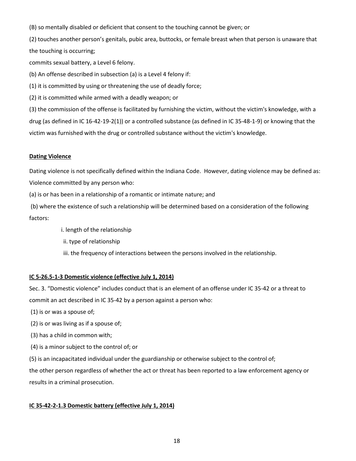(B) so mentally disabled or deficient that consent to the touching cannot be given; or

(2) touches another person's genitals, pubic area, buttocks, or female breast when that person is unaware that the touching is occurring;

commits sexual battery, a Level 6 felony.

(b) An offense described in subsection (a) is a Level 4 felony if:

(1) it is committed by using or threatening the use of deadly force;

(2) it is committed while armed with a deadly weapon; or

(3) the commission of the offense is facilitated by furnishing the victim, without the victim's knowledge, with a drug (as defined in IC 16-42-19-2(1)) or a controlled substance (as defined in IC 35-48-1-9) or knowing that the victim was furnished with the drug or controlled substance without the victim's knowledge.

#### **Dating Violence**

Dating violence is not specifically defined within the Indiana Code. However, dating violence may be defined as: Violence committed by any person who:

(a) is or has been in a relationship of a romantic or intimate nature; and

(b) where the existence of such a relationship will be determined based on a consideration of the following factors:

i. length of the relationship

ii. type of relationship

iii. the frequency of interactions between the persons involved in the relationship.

#### **IC 5-26.5-1-3 Domestic violence (effective July 1, 2014)**

Sec. 3. "Domestic violence" includes conduct that is an element of an offense under IC 35-42 or a threat to commit an act described in IC 35-42 by a person against a person who:

(1) is or was a spouse of;

(2) is or was living as if a spouse of;

(3) has a child in common with;

(4) is a minor subject to the control of; or

(5) is an incapacitated individual under the guardianship or otherwise subject to the control of;

the other person regardless of whether the act or threat has been reported to a law enforcement agency or results in a criminal prosecution.

#### **IC 35-42-2-1.3 Domestic battery (effective July 1, 2014)**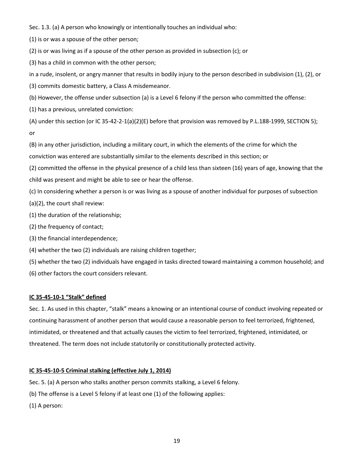Sec. 1.3. (a) A person who knowingly or intentionally touches an individual who:

(1) is or was a spouse of the other person;

(2) is or was living as if a spouse of the other person as provided in subsection (c); or

(3) has a child in common with the other person;

in a rude, insolent, or angry manner that results in bodily injury to the person described in subdivision (1), (2), or

(3) commits domestic battery, a Class A misdemeanor.

(b) However, the offense under subsection (a) is a Level 6 felony if the person who committed the offense:

(1) has a previous, unrelated conviction:

(A) under this section (or IC 35-42-2-1(a)(2)(E) before that provision was removed by P.L.188-1999, SECTION 5); or

(B) in any other jurisdiction, including a military court, in which the elements of the crime for which the conviction was entered are substantially similar to the elements described in this section; or

(2) committed the offense in the physical presence of a child less than sixteen (16) years of age, knowing that the child was present and might be able to see or hear the offense.

(c) In considering whether a person is or was living as a spouse of another individual for purposes of subsection

(a)(2), the court shall review:

(1) the duration of the relationship;

(2) the frequency of contact;

(3) the financial interdependence;

(4) whether the two (2) individuals are raising children together;

(5) whether the two (2) individuals have engaged in tasks directed toward maintaining a common household; and

(6) other factors the court considers relevant.

#### **IC 35-45-10-1 "Stalk" defined**

Sec. 1. As used in this chapter, "stalk" means a knowing or an intentional course of conduct involving repeated or continuing harassment of another person that would cause a reasonable person to feel terrorized, frightened, intimidated, or threatened and that actually causes the victim to feel terrorized, frightened, intimidated, or threatened. The term does not include statutorily or constitutionally protected activity.

#### **IC 35-45-10-5 Criminal stalking (effective July 1, 2014)**

Sec. 5. (a) A person who stalks another person commits stalking, a Level 6 felony.

(b) The offense is a Level 5 felony if at least one (1) of the following applies:

(1) A person: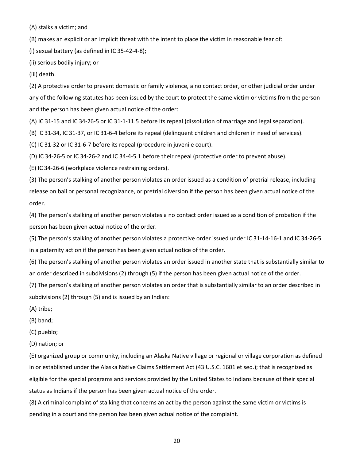(A) stalks a victim; and

(B) makes an explicit or an implicit threat with the intent to place the victim in reasonable fear of:

(i) sexual battery (as defined in IC 35-42-4-8);

(ii) serious bodily injury; or

(iii) death.

(2) A protective order to prevent domestic or family violence, a no contact order, or other judicial order under any of the following statutes has been issued by the court to protect the same victim or victims from the person and the person has been given actual notice of the order:

(A) IC 31-15 and IC 34-26-5 or IC 31-1-11.5 before its repeal (dissolution of marriage and legal separation).

(B) IC 31-34, IC 31-37, or IC 31-6-4 before its repeal (delinquent children and children in need of services).

(C) IC 31-32 or IC 31-6-7 before its repeal (procedure in juvenile court).

(D) IC 34-26-5 or IC 34-26-2 and IC 34-4-5.1 before their repeal (protective order to prevent abuse).

(E) IC 34-26-6 (workplace violence restraining orders).

(3) The person's stalking of another person violates an order issued as a condition of pretrial release, including release on bail or personal recognizance, or pretrial diversion if the person has been given actual notice of the order.

(4) The person's stalking of another person violates a no contact order issued as a condition of probation if the person has been given actual notice of the order.

(5) The person's stalking of another person violates a protective order issued under IC 31-14-16-1 and IC 34-26-5 in a paternity action if the person has been given actual notice of the order.

(6) The person's stalking of another person violates an order issued in another state that is substantially similar to an order described in subdivisions (2) through (5) if the person has been given actual notice of the order.

(7) The person's stalking of another person violates an order that is substantially similar to an order described in subdivisions (2) through (5) and is issued by an Indian:

(A) tribe;

(B) band;

(C) pueblo;

(D) nation; or

(E) organized group or community, including an Alaska Native village or regional or village corporation as defined in or established under the Alaska Native Claims Settlement Act (43 U.S.C. 1601 et seq.); that is recognized as eligible for the special programs and services provided by the United States to Indians because of their special status as Indians if the person has been given actual notice of the order.

(8) A criminal complaint of stalking that concerns an act by the person against the same victim or victims is pending in a court and the person has been given actual notice of the complaint.

20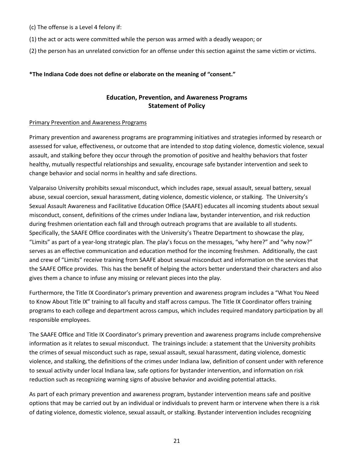- (c) The offense is a Level 4 felony if:
- (1) the act or acts were committed while the person was armed with a deadly weapon; or
- (2) the person has an unrelated conviction for an offense under this section against the same victim or victims.

#### **\*The Indiana Code does not define or elaborate on the meaning of "consent."**

# **Education, Prevention, and Awareness Programs Statement of Policy**

#### Primary Prevention and Awareness Programs

Primary prevention and awareness programs are programming initiatives and strategies informed by research or assessed for value, effectiveness, or outcome that are intended to stop dating violence, domestic violence, sexual assault, and stalking before they occur through the promotion of positive and healthy behaviors that foster healthy, mutually respectful relationships and sexuality, encourage safe bystander intervention and seek to change behavior and social norms in healthy and safe directions.

Valparaiso University prohibits sexual misconduct, which includes rape, sexual assault, sexual battery, sexual abuse, sexual coercion, sexual harassment, dating violence, domestic violence, or stalking. The University's Sexual Assault Awareness and Facilitative Education Office (SAAFE) educates all incoming students about sexual misconduct, consent, definitions of the crimes under Indiana law, bystander intervention, and risk reduction during freshmen orientation each fall and through outreach programs that are available to all students. Specifically, the SAAFE Office coordinates with the University's Theatre Department to showcase the play, "Limits" as part of a year-long strategic plan. The play's focus on the messages, "why here?" and "why now?" serves as an effective communication and education method for the incoming freshmen. Additionally, the cast and crew of "Limits" receive training from SAAFE about sexual misconduct and information on the services that the SAAFE Office provides. This has the benefit of helping the actors better understand their characters and also gives them a chance to infuse any missing or relevant pieces into the play.

Furthermore, the Title IX Coordinator's primary prevention and awareness program includes a "What You Need to Know About Title IX" training to all faculty and staff across campus. The Title IX Coordinator offers training programs to each college and department across campus, which includes required mandatory participation by all responsible employees.

The SAAFE Office and Title IX Coordinator's primary prevention and awareness programs include comprehensive information as it relates to sexual misconduct. The trainings include: a statement that the University prohibits the crimes of sexual misconduct such as rape, sexual assault, sexual harassment, dating violence, domestic violence, and stalking, the definitions of the crimes under Indiana law, definition of consent under with reference to sexual activity under local Indiana law, safe options for bystander intervention, and information on risk reduction such as recognizing warning signs of abusive behavior and avoiding potential attacks.

As part of each primary prevention and awareness program, bystander intervention means safe and positive options that may be carried out by an individual or individuals to prevent harm or intervene when there is a risk of dating violence, domestic violence, sexual assault, or stalking. Bystander intervention includes recognizing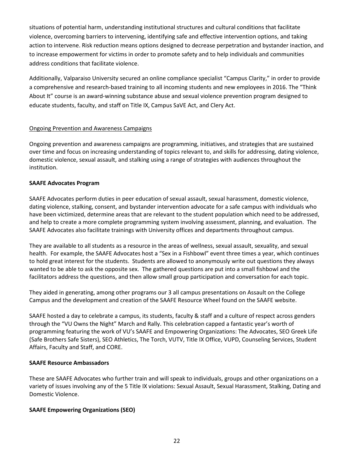situations of potential harm, understanding institutional structures and cultural conditions that facilitate violence, overcoming barriers to intervening, identifying safe and effective intervention options, and taking action to intervene. Risk reduction means options designed to decrease perpetration and bystander inaction, and to increase empowerment for victims in order to promote safety and to help individuals and communities address conditions that facilitate violence.

Additionally, Valparaiso University secured an online compliance specialist "Campus Clarity," in order to provide a comprehensive and research-based training to all incoming students and new employees in 2016. The "Think About It" course is an award-winning substance abuse and sexual violence prevention program designed to educate students, faculty, and staff on Title IX, Campus SaVE Act, and Clery Act.

#### Ongoing Prevention and Awareness Campaigns

Ongoing prevention and awareness campaigns are programming, initiatives, and strategies that are sustained over time and focus on increasing understanding of topics relevant to, and skills for addressing, dating violence, domestic violence, sexual assault, and stalking using a range of strategies with audiences throughout the institution.

#### **SAAFE Advocates Program**

SAAFE Advocates perform duties in peer education of sexual assault, sexual harassment, domestic violence, dating violence, stalking, consent, and bystander intervention advocate for a safe campus with individuals who have been victimized, determine areas that are relevant to the student population which need to be addressed, and help to create a more complete programming system involving assessment, planning, and evaluation. The SAAFE Advocates also facilitate trainings with University offices and departments throughout campus.

They are available to all students as a resource in the areas of wellness, sexual assault, sexuality, and sexual health. For example, the SAAFE Advocates host a "Sex in a Fishbowl" event three times a year, which continues to hold great interest for the students. Students are allowed to anonymously write out questions they always wanted to be able to ask the opposite sex. The gathered questions are put into a small fishbowl and the facilitators address the questions, and then allow small group participation and conversation for each topic.

They aided in generating, among other programs our 3 all campus presentations on Assault on the College Campus and the development and creation of the SAAFE Resource Wheel found on the SAAFE website.

SAAFE hosted a day to celebrate a campus, its students, faculty & staff and a culture of respect across genders through the "VU Owns the Night" March and Rally. This celebration capped a fantastic year's worth of programming featuring the work of VU's SAAFE and Empowering Organizations: The Advocates, SEO Greek Life (Safe Brothers Safe Sisters), SEO Athletics, The Torch, VUTV, Title IX Office, VUPD, Counseling Services, Student Affairs, Faculty and Staff, and CORE.

#### **SAAFE Resource Ambassadors**

These are SAAFE Advocates who further train and will speak to individuals, groups and other organizations on a variety of issues involving any of the 5 Title IX violations: Sexual Assault, Sexual Harassment, Stalking, Dating and Domestic Violence.

#### **SAAFE Empowering Organizations (SEO)**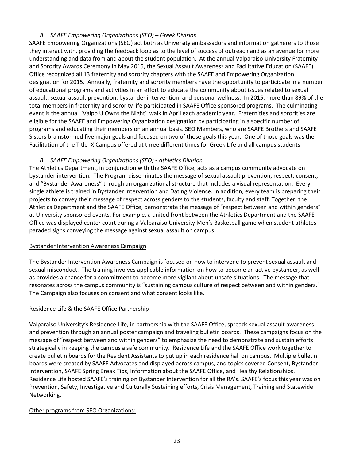# *A. SAAFE Empowering Organizations (SEO) – Greek Division*

SAAFE Empowering Organizations (SEO) act both as University ambassadors and information gatherers to those they interact with, providing the feedback loop as to the level of success of outreach and as an avenue for more understanding and data from and about the student population. At the annual Valparaiso University Fraternity and Sorority Awards Ceremony in May 2015, the Sexual Assault Awareness and Facilitative Education (SAAFE) Office recognized all 13 fraternity and sorority chapters with the SAAFE and Empowering Organization designation for 2015. Annually, fraternity and sorority members have the opportunity to participate in a number of educational programs and activities in an effort to educate the community about issues related to sexual assault, sexual assault prevention, bystander intervention, and personal wellness. In 2015, more than 89% of the total members in fraternity and sorority life participated in SAAFE Office sponsored programs. The culminating event is the annual "Valpo U Owns the Night" walk in April each academic year. Fraternities and sororities are eligible for the SAAFE and Empowering Organization designation by participating in a specific number of programs and educating their members on an annual basis. SEO Members, who are SAAFE Brothers and SAAFE Sisters brainstormed five major goals and focused on two of those goals this year. One of those goals was the Facilitation of the Title IX Campus offered at three different times for Greek Life and all campus students

# *B. SAAFE Empowering Organizations (SEO) - Athletics Division*

The Athletics Department, in conjunction with the SAAFE Office, acts as a campus community advocate on bystander intervention. The Program disseminates the message of sexual assault prevention, respect, consent, and "Bystander Awareness" through an organizational structure that includes a visual representation. Every single athlete is trained in Bystander Intervention and Dating Violence. In addition, every team is preparing their projects to convey their message of respect across genders to the students, faculty and staff. Together, the Athletics Department and the SAAFE Office, demonstrate the message of "respect between and within genders" at University sponsored events. For example, a united front between the Athletics Department and the SAAFE Office was displayed center court during a Valparaiso University Men's Basketball game when student athletes paraded signs conveying the message against sexual assault on campus.

#### Bystander Intervention Awareness Campaign

The Bystander Intervention Awareness Campaign is focused on how to intervene to prevent sexual assault and sexual misconduct. The training involves applicable information on how to become an active bystander, as well as provides a chance for a commitment to become more vigilant about unsafe situations. The message that resonates across the campus community is "sustaining campus culture of respect between and within genders." The Campaign also focuses on consent and what consent looks like.

#### Residence Life & the SAAFE Office Partnership

Valparaiso University's Residence Life, in partnership with the SAAFE Office, spreads sexual assault awareness and prevention through an annual poster campaign and traveling bulletin boards. These campaigns focus on the message of "respect between and within genders" to emphasize the need to demonstrate and sustain efforts strategically in keeping the campus a safe community. Residence Life and the SAAFE Office work together to create bulletin boards for the Resident Assistants to put up in each residence hall on campus. Multiple bulletin boards were created by SAAFE Advocates and displayed across campus, and topics covered Consent, Bystander Intervention, SAAFE Spring Break Tips, Information about the SAAFE Office, and Healthy Relationships. Residence Life hosted SAAFE's training on Bystander Intervention for all the RA's. SAAFE's focus this year was on Prevention, Safety, Investigative and Culturally Sustaining efforts, Crisis Management, Training and Statewide Networking.

#### Other programs from SEO Organizations: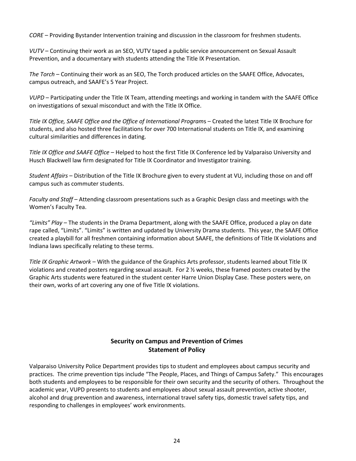*CORE* – Providing Bystander Intervention training and discussion in the classroom for freshmen students.

*VUTV* – Continuing their work as an SEO, VUTV taped a public service announcement on Sexual Assault Prevention, and a documentary with students attending the Title IX Presentation.

*The Torch* – Continuing their work as an SEO, The Torch produced articles on the SAAFE Office, Advocates, campus outreach, and SAAFE's 5 Year Project.

*VUPD* – Participating under the Title IX Team, attending meetings and working in tandem with the SAAFE Office on investigations of sexual misconduct and with the Title IX Office.

*Title IX Office, SAAFE Office and the Office of International Program*s – Created the latest Title IX Brochure for students, and also hosted three facilitations for over 700 International students on Title IX, and examining cultural similarities and differences in dating.

*Title IX Office and SAAFE Office* – Helped to host the first Title IX Conference led by Valparaiso University and Husch Blackwell law firm designated for Title IX Coordinator and Investigator training.

*Student Affairs* – Distribution of the Title IX Brochure given to every student at VU, including those on and off campus such as commuter students.

*Faculty and Staff* – Attending classroom presentations such as a Graphic Design class and meetings with the Women's Faculty Tea.

*"Limits" Play* – The students in the Drama Department, along with the SAAFE Office, produced a play on date rape called, "Limits". "Limits" is written and updated by University Drama students. This year, the SAAFE Office created a playbill for all freshmen containing information about SAAFE, the definitions of Title IX violations and Indiana laws specifically relating to these terms.

*Title IX Graphic Artwork* – With the guidance of the Graphics Arts professor, students learned about Title IX violations and created posters regarding sexual assault. For 2 ½ weeks, these framed posters created by the Graphic Arts students were featured in the student center Harre Union Display Case. These posters were, on their own, works of art covering any one of five Title IX violations.

# **Security on Campus and Prevention of Crimes Statement of Policy**

Valparaiso University Police Department provides tips to student and employees about campus security and practices. The crime prevention tips include "The People, Places, and Things of Campus Safety." This encourages both students and employees to be responsible for their own security and the security of others. Throughout the academic year, VUPD presents to students and employees about sexual assault prevention, active shooter, alcohol and drug prevention and awareness, international travel safety tips, domestic travel safety tips, and responding to challenges in employees' work environments.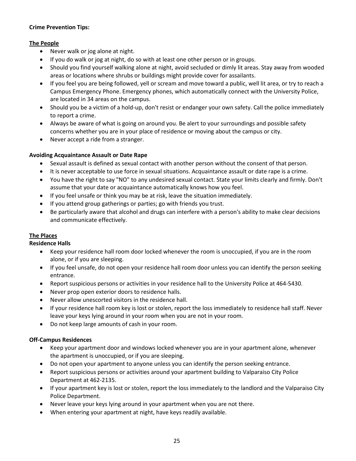#### **Crime Prevention Tips:**

#### **The People**

- Never walk or jog alone at night.
- If you do walk or jog at night, do so with at least one other person or in groups.
- Should you find yourself walking alone at night, avoid secluded or dimly lit areas. Stay away from wooded areas or locations where shrubs or buildings might provide cover for assailants.
- If you feel you are being followed, yell or scream and move toward a public, well lit area, or try to reach a Campus Emergency Phone. Emergency phones, which automatically connect with the University Police, are located in 34 areas on the campus.
- Should you be a victim of a hold-up, don't resist or endanger your own safety. Call the police immediately to report a crime.
- Always be aware of what is going on around you. Be alert to your surroundings and possible safety concerns whether you are in your place of residence or moving about the campus or city.
- Never accept a ride from a stranger.

#### **Avoiding Acquaintance Assault or Date Rape**

- Sexual assault is defined as sexual contact with another person without the consent of that person.
- It is never acceptable to use force in sexual situations. Acquaintance assault or date rape is a crime.
- You have the right to say "NO" to any undesired sexual contact. State your limits clearly and firmly. Don't assume that your date or acquaintance automatically knows how you feel.
- If you feel unsafe or think you may be at risk, leave the situation immediately.
- If you attend group gatherings or parties; go with friends you trust.
- Be particularly aware that alcohol and drugs can interfere with a person's ability to make clear decisions and communicate effectively.

#### **The Places**

#### **Residence Halls**

- Keep your residence hall room door locked whenever the room is unoccupied, if you are in the room alone, or if you are sleeping.
- If you feel unsafe, do not open your residence hall room door unless you can identify the person seeking entrance.
- Report suspicious persons or activities in your residence hall to the University Police at 464-5430.
- Never prop open exterior doors to residence halls.
- Never allow unescorted visitors in the residence hall.
- If your residence hall room key is lost or stolen, report the loss immediately to residence hall staff. Never leave your keys lying around in your room when you are not in your room.
- Do not keep large amounts of cash in your room.

#### **Off-Campus Residences**

- Keep your apartment door and windows locked whenever you are in your apartment alone, whenever the apartment is unoccupied, or if you are sleeping.
- Do not open your apartment to anyone unless you can identify the person seeking entrance.
- Report suspicious persons or activities around your apartment building to Valparaiso City Police Department at 462-2135.
- If your apartment key is lost or stolen, report the loss immediately to the landlord and the Valparaiso City Police Department.
- Never leave your keys lying around in your apartment when you are not there.
- When entering your apartment at night, have keys readily available.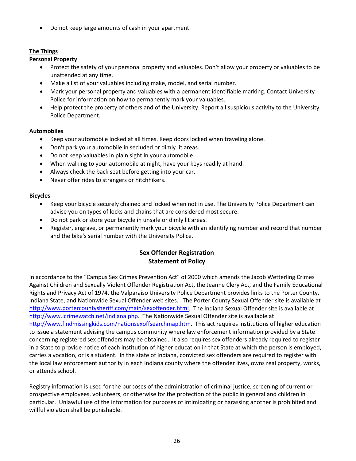• Do not keep large amounts of cash in your apartment.

# **The Things**

# **Personal Property**

- Protect the safety of your personal property and valuables. Don't allow your property or valuables to be unattended at any time.
- Make a list of your valuables including make, model, and serial number.
- Mark your personal property and valuables with a permanent identifiable marking. Contact University Police for information on how to permanently mark your valuables.
- Help protect the property of others and of the University. Report all suspicious activity to the University Police Department.

#### **Automobiles**

- Keep your automobile locked at all times. Keep doors locked when traveling alone.
- Don't park your automobile in secluded or dimly lit areas.
- Do not keep valuables in plain sight in your automobile.
- When walking to your automobile at night, have your keys readily at hand.
- Always check the back seat before getting into your car.
- Never offer rides to strangers or hitchhikers.

#### **Bicycles**

- Keep your bicycle securely chained and locked when not in use. The University Police Department can advise you on types of locks and chains that are considered most secure.
- Do not park or store your bicycle in unsafe or dimly lit areas.
- Register, engrave, or permanently mark your bicycle with an identifying number and record that number and the bike's serial number with the University Police.

# **Sex Offender Registration Statement of Policy**

In accordance to the "Campus Sex Crimes Prevention Act" of 2000 which amends the Jacob Wetterling Crimes Against Children and Sexually Violent Offender Registration Act, the Jeanne Clery Act, and the Family Educational Rights and Privacy Act of 1974, the Valparaiso University Police Department provides links to the Porter County, Indiana State, and Nationwide Sexual Offender web sites. The Porter County Sexual Offender site is available at [http://www.portercountysheriff.com/main/sexoffender.html.](http://www.portercountysheriff.com/main/sexoffender.html) The Indiana Sexual Offender site is available at [http://www.icrimewatch.net/indiana.php.](http://www.icrimewatch.net/indiana.php) The Nationwide Sexual Offender site is available at [http://www.findmissingkids.com/nationsexoffsearchmap.htm.](http://www.findmissingkids.com/nationsexoffsearchmap.htm) This act requires institutions of higher education to issue a statement advising the campus community where law enforcement information provided by a State concerning registered sex offenders may be obtained. It also requires sex offenders already required to register in a State to provide notice of each institution of higher education in that State at which the person is employed, carries a vocation, or is a student. In the state of Indiana, convicted sex offenders are required to register with the local law enforcement authority in each Indiana county where the offender lives, owns real property, works, or attends school.

Registry information is used for the purposes of the administration of criminal justice, screening of current or prospective employees, volunteers, or otherwise for the protection of the public in general and children in particular. Unlawful use of the information for purposes of intimidating or harassing another is prohibited and willful violation shall be punishable.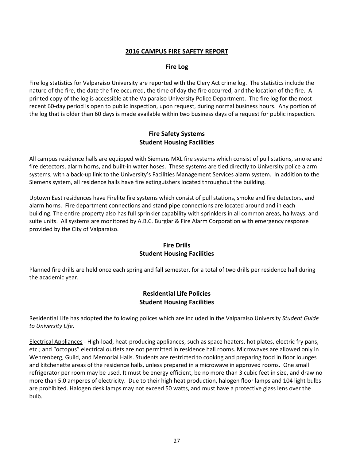### **2016 CAMPUS FIRE SAFETY REPORT**

#### **Fire Log**

Fire log statistics for Valparaiso University are reported with the Clery Act crime log. The statistics include the nature of the fire, the date the fire occurred, the time of day the fire occurred, and the location of the fire. A printed copy of the log is accessible at the Valparaiso University Police Department. The fire log for the most recent 60-day period is open to public inspection, upon request, during normal business hours. Any portion of the log that is older than 60 days is made available within two business days of a request for public inspection.

# **Fire Safety Systems Student Housing Facilities**

All campus residence halls are equipped with Siemens MXL fire systems which consist of pull stations, smoke and fire detectors, alarm horns, and built-in water hoses. These systems are tied directly to University police alarm systems, with a back-up link to the University's Facilities Management Services alarm system. In addition to the Siemens system, all residence halls have fire extinguishers located throughout the building.

Uptown East residences have Firelite fire systems which consist of pull stations, smoke and fire detectors, and alarm horns. Fire department connections and stand pipe connections are located around and in each building. The entire property also has full sprinkler capability with sprinklers in all common areas, hallways, and suite units. All systems are monitored by A.B.C. Burglar & Fire Alarm Corporation with emergency response provided by the City of Valparaiso.

#### **Fire Drills Student Housing Facilities**

Planned fire drills are held once each spring and fall semester, for a total of two drills per residence hall during the academic year.

# **Residential Life Policies Student Housing Facilities**

Residential Life has adopted the following polices which are included in the Valparaiso University *Student Guide to University Life.*

Electrical Appliances - High-load, heat-producing appliances, such as space heaters, hot plates, electric fry pans, etc.; and "octopus" electrical outlets are not permitted in residence hall rooms. Microwaves are allowed only in Wehrenberg, Guild, and Memorial Halls. Students are restricted to cooking and preparing food in floor lounges and kitchenette areas of the residence halls, unless prepared in a microwave in approved rooms. One small refrigerator per room may be used. It must be energy efficient, be no more than 3 cubic feet in size, and draw no more than 5.0 amperes of electricity. Due to their high heat production, halogen floor lamps and 104 light bulbs are prohibited. Halogen desk lamps may not exceed 50 watts, and must have a protective glass lens over the bulb.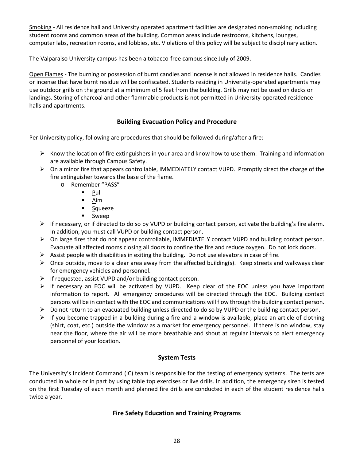Smoking - All residence hall and University operated apartment facilities are designated non-smoking including student rooms and common areas of the building. Common areas include restrooms, kitchens, lounges, computer labs, recreation rooms, and lobbies, etc. Violations of this policy will be subject to disciplinary action.

The Valparaiso University campus has been a tobacco-free campus since July of 2009.

Open Flames - The burning or possession of burnt candles and incense is not allowed in residence halls. Candles or incense that have burnt residue will be confiscated. Students residing in University-operated apartments may use outdoor grills on the ground at a minimum of 5 feet from the building. Grills may not be used on decks or landings. Storing of charcoal and other flammable products is not permitted in University-operated residence halls and apartments.

# **Building Evacuation Policy and Procedure**

Per University policy, following are procedures that should be followed during/after a fire:

- $\triangleright$  Know the location of fire extinguishers in your area and know how to use them. Training and information are available through Campus Safety.
- $\triangleright$  On a minor fire that appears controllable, IMMEDIATELY contact VUPD. Promptly direct the charge of the fire extinguisher towards the base of the flame.
	- o Remember "PASS"
		- $\neg$  Pull
		- Aim
		- Squeeze
		- **Sweep**
- $\triangleright$  If necessary, or if directed to do so by VUPD or building contact person, activate the building's fire alarm. In addition, you must call VUPD or building contact person.
- On large fires that do not appear controllable, IMMEDIATELY contact VUPD and building contact person. Evacuate all affected rooms closing all doors to confine the fire and reduce oxygen. Do not lock doors.
- $\triangleright$  Assist people with disabilities in exiting the building. Do not use elevators in case of fire.
- $\triangleright$  Once outside, move to a clear area away from the affected building(s). Keep streets and walkways clear for emergency vehicles and personnel.
- $\triangleright$  If requested, assist VUPD and/or building contact person.
- $\triangleright$  If necessary an EOC will be activated by VUPD. Keep clear of the EOC unless you have important information to report. All emergency procedures will be directed through the EOC. Building contact persons will be in contact with the EOC and communications will flow through the building contact person.
- $\triangleright$  Do not return to an evacuated building unless directed to do so by VUPD or the building contact person.
- $\triangleright$  If you become trapped in a building during a fire and a window is available, place an article of clothing (shirt, coat, etc.) outside the window as a market for emergency personnel. If there is no window, stay near the floor, where the air will be more breathable and shout at regular intervals to alert emergency personnel of your location.

# **System Tests**

The University's Incident Command (IC) team is responsible for the testing of emergency systems. The tests are conducted in whole or in part by using table top exercises or live drills. In addition, the emergency siren is tested on the first Tuesday of each month and planned fire drills are conducted in each of the student residence halls twice a year.

# **Fire Safety Education and Training Programs**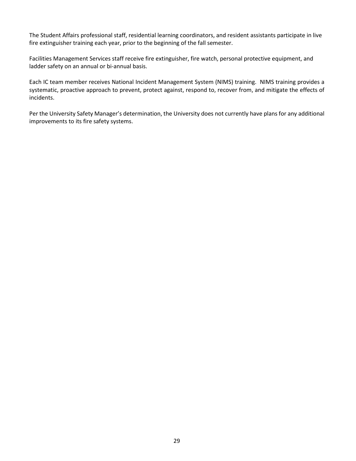The Student Affairs professional staff, residential learning coordinators, and resident assistants participate in live fire extinguisher training each year, prior to the beginning of the fall semester.

Facilities Management Services staff receive fire extinguisher, fire watch, personal protective equipment, and ladder safety on an annual or bi-annual basis.

Each IC team member receives National Incident Management System (NIMS) training. NIMS training provides a systematic, proactive approach to prevent, protect against, respond to, recover from, and mitigate the effects of incidents.

Per the University Safety Manager's determination, the University does not currently have plans for any additional improvements to its fire safety systems.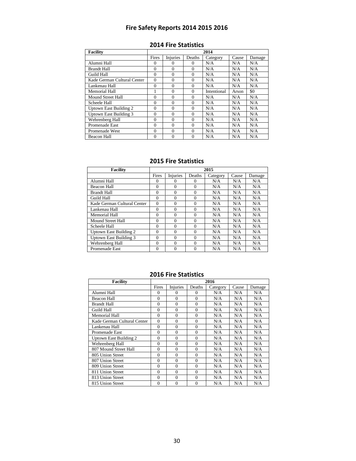# **Fire Safety Reports 2014 2015 2016**

| <b>Facility</b>               | 2014     |                 |               |             |       |        |  |  |  |  |
|-------------------------------|----------|-----------------|---------------|-------------|-------|--------|--|--|--|--|
|                               | Fires    | <b>Injuries</b> | <b>Deaths</b> | Category    | Cause | Damage |  |  |  |  |
| Alumni Hall                   | $\Omega$ | $\Omega$        | $\Omega$      | N/A         | N/A   | N/A    |  |  |  |  |
| <b>Brandt Hall</b>            | $\Omega$ | $\Omega$        | 0             | N/A         | N/A   | N/A    |  |  |  |  |
| Guild Hall                    | $\Omega$ | $\theta$        | $\theta$      | N/A         | N/A   | N/A    |  |  |  |  |
| Kade German Cultural Center   | $\theta$ | $\Omega$        | $\Omega$      | N/A         | N/A   | N/A    |  |  |  |  |
| Lankenau Hall                 | $\theta$ | $\Omega$        | $\Omega$      | N/A         | N/A   | N/A    |  |  |  |  |
| Memorial Hall                 | 1        | $\Omega$        | $\Omega$      | Intentional | Arson | \$0    |  |  |  |  |
| Mound Street Hall             | $\Omega$ | $\Omega$        | $\Omega$      | N/A         | N/A   | N/A    |  |  |  |  |
| Scheele Hall                  | $\theta$ | $\Omega$        | $\Omega$      | N/A         | N/A   | N/A    |  |  |  |  |
| <b>Uptown East Building 2</b> | $\Omega$ | $\Omega$        | $\Omega$      | N/A         | N/A   | N/A    |  |  |  |  |
| Uptown East Building 3        | $\theta$ | $\theta$        | $\Omega$      | N/A         | N/A   | N/A    |  |  |  |  |
| Wehrenberg Hall               | $\theta$ | $\Omega$        | $\Omega$      | N/A         | N/A   | N/A    |  |  |  |  |
| Promenade East                | $\theta$ | $\Omega$        | $\Omega$      | N/A         | N/A   | N/A    |  |  |  |  |
| Promenade West                | $\theta$ | $\Omega$        | $\theta$      | N/A         | N/A   | N/A    |  |  |  |  |
| <b>Beacon Hall</b>            | $\Omega$ | $\Omega$        | $\Omega$      | N/A         | N/A   | N/A    |  |  |  |  |

#### **2014 Fire Statistics**

#### **2015 Fire Statistics**

| <b>Facility</b>               | 2015     |          |          |          |       |        |  |  |  |  |  |
|-------------------------------|----------|----------|----------|----------|-------|--------|--|--|--|--|--|
|                               | Fires    | Injuries | Deaths   | Category | Cause | Damage |  |  |  |  |  |
| Alumni Hall                   | $\Omega$ | $\Omega$ | $\Omega$ | N/A      | N/A   | N/A    |  |  |  |  |  |
| Beacon Hall                   | $\Omega$ | $\Omega$ | $\Omega$ | N/A      | N/A   | N/A    |  |  |  |  |  |
| <b>Brandt Hall</b>            | $\Omega$ | $\Omega$ | $\Omega$ | N/A      | N/A   | N/A    |  |  |  |  |  |
| Guild Hall                    | $\Omega$ | $\Omega$ | $\Omega$ | N/A      | N/A   | N/A    |  |  |  |  |  |
| Kade German Cultural Center   | $\Omega$ | $\Omega$ | $\Omega$ | N/A      | N/A   | N/A    |  |  |  |  |  |
| Lankenau Hall                 | $\Omega$ | $\Omega$ | $\theta$ | N/A      | N/A   | N/A    |  |  |  |  |  |
| Memorial Hall                 | $\Omega$ | $\Omega$ | $\Omega$ | N/A      | N/A   | N/A    |  |  |  |  |  |
| <b>Mound Street Hall</b>      | $\Omega$ | $\Omega$ | $\Omega$ | N/A      | N/A   | N/A    |  |  |  |  |  |
| Scheele Hall                  | $\Omega$ | $\Omega$ | $\Omega$ | N/A      | N/A   | N/A    |  |  |  |  |  |
| Uptown East Building 2        | $\Omega$ | $\Omega$ | $\Omega$ | N/A      | N/A   | N/A    |  |  |  |  |  |
| <b>Uptown East Building 3</b> | $\Omega$ | $\Omega$ | $\Omega$ | N/A      | N/A   | N/A    |  |  |  |  |  |
| Wehrenberg Hall               | $\Omega$ | $\Omega$ | $\Omega$ | N/A      | N/A   | N/A    |  |  |  |  |  |
| Promenade East                | $\Omega$ | $\Omega$ | $\Omega$ | N/A      | N/A   | N/A    |  |  |  |  |  |

| <b>Facility</b>             | 2016     |                |          |          |       |        |  |  |  |  |  |
|-----------------------------|----------|----------------|----------|----------|-------|--------|--|--|--|--|--|
|                             | Fires    | Injuries       | Deaths   | Category | Cause | Damage |  |  |  |  |  |
| Alumni Hall                 | $\Omega$ | $\Omega$       | $\Omega$ | N/A      | N/A   | N/A    |  |  |  |  |  |
| Beacon Hall                 | $\theta$ | $\theta$       | $\Omega$ | N/A      | N/A   | N/A    |  |  |  |  |  |
| <b>Brandt Hall</b>          | $\theta$ | $\theta$       | $\Omega$ | N/A      | N/A   | N/A    |  |  |  |  |  |
| Guild Hall                  | $\theta$ | $\theta$       | $\Omega$ | N/A      | N/A   | N/A    |  |  |  |  |  |
| Memorial Hall               | $\theta$ | $\theta$       | $\theta$ | N/A      | N/A   | N/A    |  |  |  |  |  |
| Kade German Cultural Center | $\Omega$ | $\theta$       | $\Omega$ | N/A      | N/A   | N/A    |  |  |  |  |  |
| Lankenau Hall               | $\Omega$ | $\overline{0}$ | $\Omega$ | N/A      | N/A   | N/A    |  |  |  |  |  |
| Promenade East              | $\Omega$ | $\overline{0}$ | $\Omega$ | N/A      | N/A   | N/A    |  |  |  |  |  |
| Uptown East Building 2      | $\Omega$ | $\theta$       | $\Omega$ | N/A      | N/A   | N/A    |  |  |  |  |  |
| Wehrenberg Hall             | $\Omega$ | $\overline{0}$ | $\Omega$ | N/A      | N/A   | N/A    |  |  |  |  |  |
| 807 Mound Street Hall       | $\theta$ | $\overline{0}$ | $\theta$ | N/A      | N/A   | N/A    |  |  |  |  |  |
| 805 Union Street            | $\theta$ | $\theta$       | $\Omega$ | N/A      | N/A   | N/A    |  |  |  |  |  |
| 807 Union Street            | $\theta$ | $\theta$       | $\Omega$ | N/A      | N/A   | N/A    |  |  |  |  |  |
| 809 Union Street            | $\theta$ | $\theta$       | $\Omega$ | N/A      | N/A   | N/A    |  |  |  |  |  |
| 811 Union Street            | $\Omega$ | $\theta$       | $\Omega$ | N/A      | N/A   | N/A    |  |  |  |  |  |
| 813 Union Street            | $\theta$ | $\theta$       | $\Omega$ | N/A      | N/A   | N/A    |  |  |  |  |  |
| 815 Union Street            | $\theta$ | $\theta$       | $\Omega$ | N/A      | N/A   | N/A    |  |  |  |  |  |

# **2016 Fire Statistics**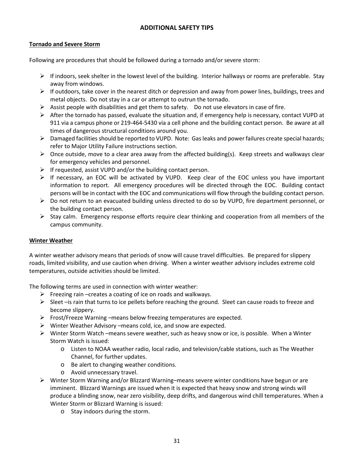#### **ADDITIONAL SAFETY TIPS**

#### **Tornado and Severe Storm**

Following are procedures that should be followed during a tornado and/or severe storm:

- $\triangleright$  If indoors, seek shelter in the lowest level of the building. Interior hallways or rooms are preferable. Stay away from windows.
- $\triangleright$  If outdoors, take cover in the nearest ditch or depression and away from power lines, buildings, trees and metal objects. Do not stay in a car or attempt to outrun the tornado.
- $\triangleright$  Assist people with disabilities and get them to safety. Do not use elevators in case of fire.
- $\triangleright$  After the tornado has passed, evaluate the situation and, if emergency help is necessary, contact VUPD at 911 via a campus phone or 219-464-5430 via a cell phone and the building contact person. Be aware at all times of dangerous structural conditions around you.
- $\triangleright$  Damaged facilities should be reported to VUPD. Note: Gas leaks and power failures create special hazards; refer to Major Utility Failure instructions section.
- $\triangleright$  Once outside, move to a clear area away from the affected building(s). Keep streets and walkways clear for emergency vehicles and personnel.
- $\triangleright$  If requested, assist VUPD and/or the building contact person.
- $\triangleright$  If necessary, an EOC will be activated by VUPD. Keep clear of the EOC unless you have important information to report. All emergency procedures will be directed through the EOC. Building contact persons will be in contact with the EOC and communications will flow through the building contact person.
- Do not return to an evacuated building unless directed to do so by VUPD, fire department personnel, or the building contact person.
- $\triangleright$  Stay calm. Emergency response efforts require clear thinking and cooperation from all members of the campus community.

#### **Winter Weather**

A winter weather advisory means that periods of snow will cause travel difficulties. Be prepared for slippery roads, limited visibility, and use caution when driving. When a winter weather advisory includes extreme cold temperatures, outside activities should be limited.

The following terms are used in connection with winter weather:

- $\triangleright$  Freezing rain –creates a coating of ice on roads and walkways.
- $\triangleright$  Sleet –is rain that turns to ice pellets before reaching the ground. Sleet can cause roads to freeze and become slippery.
- $\triangleright$  Frost/Freeze Warning –means below freezing temperatures are expected.
- $\triangleright$  Winter Weather Advisory –means cold, ice, and snow are expected.
- $\triangleright$  Winter Storm Watch –means severe weather, such as heavy snow or ice, is possible. When a Winter Storm Watch is issued:
	- o Listen to NOAA weather radio, local radio, and television/cable stations, such as The Weather Channel, for further updates.
	- o Be alert to changing weather conditions.
	- o Avoid unnecessary travel.
- Winter Storm Warning and/or Blizzard Warning–means severe winter conditions have begun or are imminent. Blizzard Warnings are issued when it is expected that heavy snow and strong winds will produce a blinding snow, near zero visibility, deep drifts, and dangerous wind chill temperatures. When a Winter Storm or Blizzard Warning is issued:
	- o Stay indoors during the storm.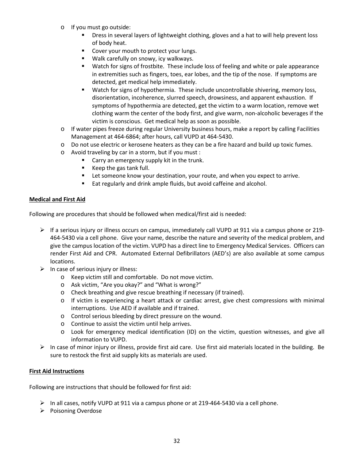- o If you must go outside:
	- **Phiat** Dress in several layers of lightweight clothing, gloves and a hat to will help prevent loss of body heat.
	- Cover your mouth to protect your lungs.
	- **Walk carefully on snowy, icy walkways.**
	- Watch for signs of frostbite. These include loss of feeling and white or pale appearance in extremities such as fingers, toes, ear lobes, and the tip of the nose. If symptoms are detected, get medical help immediately.
	- Watch for signs of hypothermia. These include uncontrollable shivering, memory loss, disorientation, incoherence, slurred speech, drowsiness, and apparent exhaustion. If symptoms of hypothermia are detected, get the victim to a warm location, remove wet clothing warm the center of the body first, and give warm, non-alcoholic beverages if the victim is conscious. Get medical help as soon as possible.
- $\circ$  If water pipes freeze during regular University business hours, make a report by calling Facilities Management at 464-6864; after hours, call VUPD at 464-5430.
- o Do not use electric or kerosene heaters as they can be a fire hazard and build up toxic fumes.
- o Avoid traveling by car in a storm, but if you must :
	- **Carry an emergency supply kit in the trunk.**
	- Keep the gas tank full.
	- **EXECT** Let someone know your destination, your route, and when you expect to arrive.
	- Eat regularly and drink ample fluids, but avoid caffeine and alcohol.

#### **Medical and First Aid**

Following are procedures that should be followed when medical/first aid is needed:

- $\triangleright$  If a serious injury or illness occurs on campus, immediately call VUPD at 911 via a campus phone or 219-464-5430 via a cell phone. Give your name, describe the nature and severity of the medical problem, and give the campus location of the victim. VUPD has a direct line to Emergency Medical Services. Officers can render First Aid and CPR. Automated External Defibrillators (AED's) are also available at some campus locations.
- $\triangleright$  In case of serious injury or illness:
	- o Keep victim still and comfortable. Do not move victim.
	- o Ask victim, "Are you okay?" and "What is wrong?"
	- o Check breathing and give rescue breathing if necessary (if trained).
	- o If victim is experiencing a heart attack or cardiac arrest, give chest compressions with minimal interruptions. Use AED if available and if trained.
	- o Control serious bleeding by direct pressure on the wound.
	- o Continue to assist the victim until help arrives.
	- o Look for emergency medical identification (ID) on the victim, question witnesses, and give all information to VUPD.
- $\triangleright$  In case of minor injury or illness, provide first aid care. Use first aid materials located in the building. Be sure to restock the first aid supply kits as materials are used.

#### **First Aid Instructions**

Following are instructions that should be followed for first aid:

- $\triangleright$  In all cases, notify VUPD at 911 via a campus phone or at 219-464-5430 via a cell phone.
- $\triangleright$  Poisoning Overdose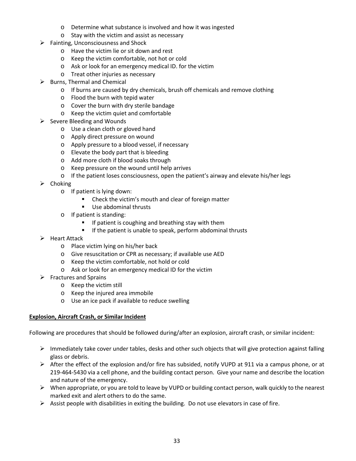- o Determine what substance is involved and how it was ingested
- o Stay with the victim and assist as necessary
- $\triangleright$  Fainting, Unconsciousness and Shock
	- o Have the victim lie or sit down and rest
	- o Keep the victim comfortable, not hot or cold
	- o Ask or look for an emergency medical ID. for the victim
	- o Treat other injuries as necessary
- $\triangleright$  Burns, Thermal and Chemical
	- $\circ$  If burns are caused by dry chemicals, brush off chemicals and remove clothing
	- o Flood the burn with tepid water
	- o Cover the burn with dry sterile bandage
	- o Keep the victim quiet and comfortable
- Severe Bleeding and Wounds
	- o Use a clean cloth or gloved hand
	- o Apply direct pressure on wound
	- o Apply pressure to a blood vessel, if necessary
	- o Elevate the body part that is bleeding
	- o Add more cloth if blood soaks through
	- o Keep pressure on the wound until help arrives
	- o If the patient loses consciousness, open the patient's airway and elevate his/her legs
- $\triangleright$  Choking
	- o If patient is lying down:
		- Check the victim's mouth and clear of foreign matter
		- Use abdominal thrusts
	- o If patient is standing:
		- **If patient is coughing and breathing stay with them**
		- **If the patient is unable to speak, perform abdominal thrusts**
- Heart Attack
	- o Place victim lying on his/her back
	- o Give resuscitation or CPR as necessary; if available use AED
	- o Keep the victim comfortable, not hold or cold
	- o Ask or look for an emergency medical ID for the victim
- $\triangleright$  Fractures and Sprains
	- o Keep the victim still
	- o Keep the injured area immobile
	- o Use an ice pack if available to reduce swelling

#### **Explosion, Aircraft Crash, or Similar Incident**

Following are procedures that should be followed during/after an explosion, aircraft crash, or similar incident:

- $\triangleright$  Immediately take cover under tables, desks and other such objects that will give protection against falling glass or debris.
- $\triangleright$  After the effect of the explosion and/or fire has subsided, notify VUPD at 911 via a campus phone, or at 219-464-5430 via a cell phone, and the building contact person. Give your name and describe the location and nature of the emergency.
- $\triangleright$  When appropriate, or you are told to leave by VUPD or building contact person, walk quickly to the nearest marked exit and alert others to do the same.
- $\triangleright$  Assist people with disabilities in exiting the building. Do not use elevators in case of fire.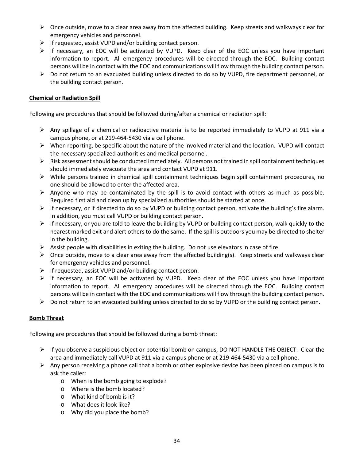- $\triangleright$  Once outside, move to a clear area away from the affected building. Keep streets and walkways clear for emergency vehicles and personnel.
- $\triangleright$  If requested, assist VUPD and/or building contact person.
- $\triangleright$  If necessary, an EOC will be activated by VUPD. Keep clear of the EOC unless you have important information to report. All emergency procedures will be directed through the EOC. Building contact persons will be in contact with the EOC and communications will flow through the building contact person.
- $\triangleright$  Do not return to an evacuated building unless directed to do so by VUPD, fire department personnel, or the building contact person.

#### **Chemical or Radiation Spill**

Following are procedures that should be followed during/after a chemical or radiation spill:

- $\triangleright$  Any spillage of a chemical or radioactive material is to be reported immediately to VUPD at 911 via a campus phone, or at 219-464-5430 via a cell phone.
- $\triangleright$  When reporting, be specific about the nature of the involved material and the location. VUPD will contact the necessary specialized authorities and medical personnel.
- $\triangleright$  Risk assessment should be conducted immediately. All persons not trained in spill containment techniques should immediately evacuate the area and contact VUPD at 911.
- $\triangleright$  While persons trained in chemical spill containment techniques begin spill containment procedures, no one should be allowed to enter the affected area.
- $\triangleright$  Anyone who may be contaminated by the spill is to avoid contact with others as much as possible. Required first aid and clean up by specialized authorities should be started at once.
- $\triangleright$  If necessary, or if directed to do so by VUPD or building contact person, activate the building's fire alarm. In addition, you must call VUPD or building contact person.
- $\triangleright$  If necessary, or you are told to leave the building by VUPD or building contact person, walk quickly to the nearest marked exit and alert others to do the same. If the spill is outdoors you may be directed to shelter in the building.
- $\triangleright$  Assist people with disabilities in exiting the building. Do not use elevators in case of fire.
- $\triangleright$  Once outside, move to a clear area away from the affected building(s). Keep streets and walkways clear for emergency vehicles and personnel.
- $\triangleright$  If requested, assist VUPD and/or building contact person.
- $\triangleright$  If necessary, an EOC will be activated by VUPD. Keep clear of the EOC unless you have important information to report. All emergency procedures will be directed through the EOC. Building contact persons will be in contact with the EOC and communications will flow through the building contact person.
- $\triangleright$  Do not return to an evacuated building unless directed to do so by VUPD or the building contact person.

#### **Bomb Threat**

Following are procedures that should be followed during a bomb threat:

- $\triangleright$  If you observe a suspicious object or potential bomb on campus, DO NOT HANDLE THE OBJECT. Clear the area and immediately call VUPD at 911 via a campus phone or at 219-464-5430 via a cell phone.
- Any person receiving a phone call that a bomb or other explosive device has been placed on campus is to ask the caller:
	- o When is the bomb going to explode?
	- o Where is the bomb located?
	- o What kind of bomb is it?
	- o What does it look like?
	- o Why did you place the bomb?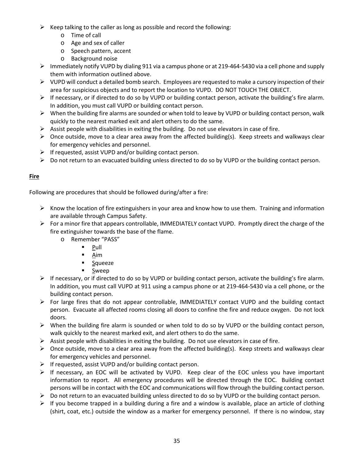- $\triangleright$  Keep talking to the caller as long as possible and record the following:
	- o Time of call
	- o Age and sex of caller
	- o Speech pattern, accent
	- o Background noise
- $\triangleright$  Immediately notify VUPD by dialing 911 via a campus phone or at 219-464-5430 via a cell phone and supply them with information outlined above.
- $\triangleright$  VUPD will conduct a detailed bomb search. Employees are requested to make a cursory inspection of their area for suspicious objects and to report the location to VUPD. DO NOT TOUCH THE OBJECT.
- $\triangleright$  If necessary, or if directed to do so by VUPD or building contact person, activate the building's fire alarm. In addition, you must call VUPD or building contact person.
- $\triangleright$  When the building fire alarms are sounded or when told to leave by VUPD or building contact person, walk quickly to the nearest marked exit and alert others to do the same.
- $\triangleright$  Assist people with disabilities in exiting the building. Do not use elevators in case of fire.
- $\triangleright$  Once outside, move to a clear area away from the affected building(s). Keep streets and walkways clear for emergency vehicles and personnel.
- $\triangleright$  If requested, assist VUPD and/or building contact person.
- Do not return to an evacuated building unless directed to do so by VUPD or the building contact person.

# **Fire**

Following are procedures that should be followed during/after a fire:

- $\triangleright$  Know the location of fire extinguishers in your area and know how to use them. Training and information are available through Campus Safety.
- $\triangleright$  For a minor fire that appears controllable, IMMEDIATELY contact VUPD. Promptly direct the charge of the fire extinguisher towards the base of the flame.
	- o Remember "PASS"
		- $\blacksquare$  Pull
			- $\overline{\mathsf{A}}$ im
			- **Squeeze**
		- **Sweep**
- $\triangleright$  If necessary, or if directed to do so by VUPD or building contact person, activate the building's fire alarm. In addition, you must call VUPD at 911 using a campus phone or at 219-464-5430 via a cell phone, or the building contact person.
- $\triangleright$  For large fires that do not appear controllable, IMMEDIATELY contact VUPD and the building contact person. Evacuate all affected rooms closing all doors to confine the fire and reduce oxygen. Do not lock doors.
- $\triangleright$  When the building fire alarm is sounded or when told to do so by VUPD or the building contact person, walk quickly to the nearest marked exit, and alert others to do the same.
- $\triangleright$  Assist people with disabilities in exiting the building. Do not use elevators in case of fire.
- $\triangleright$  Once outside, move to a clear area away from the affected building(s). Keep streets and walkways clear for emergency vehicles and personnel.
- $\triangleright$  If requested, assist VUPD and/or building contact person.
- $\triangleright$  If necessary, an EOC will be activated by VUPD. Keep clear of the EOC unless you have important information to report. All emergency procedures will be directed through the EOC. Building contact persons will be in contact with the EOC and communications will flow through the building contact person.
- $\triangleright$  Do not return to an evacuated building unless directed to do so by VUPD or the building contact person.
- $\triangleright$  If you become trapped in a building during a fire and a window is available, place an article of clothing (shirt, coat, etc.) outside the window as a marker for emergency personnel. If there is no window, stay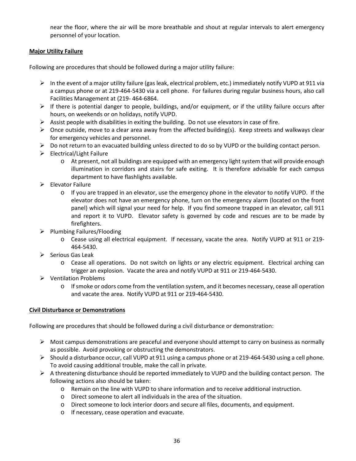near the floor, where the air will be more breathable and shout at regular intervals to alert emergency personnel of your location.

#### **Major Utility Failure**

Following are procedures that should be followed during a major utility failure:

- $\triangleright$  In the event of a major utility failure (gas leak, electrical problem, etc.) immediately notify VUPD at 911 via a campus phone or at 219-464-5430 via a cell phone. For failures during regular business hours, also call Facilities Management at (219- 464-6864.
- $\triangleright$  If there is potential danger to people, buildings, and/or equipment, or if the utility failure occurs after hours, on weekends or on holidays, notify VUPD.
- $\triangleright$  Assist people with disabilities in exiting the building. Do not use elevators in case of fire.
- $\triangleright$  Once outside, move to a clear area away from the affected building(s). Keep streets and walkways clear for emergency vehicles and personnel.
- $\triangleright$  Do not return to an evacuated building unless directed to do so by VUPD or the building contact person.
- $\triangleright$  Electrical/Light Failure
	- o At present, not all buildings are equipped with an emergency light system that will provide enough illumination in corridors and stairs for safe exiting. It is therefore advisable for each campus department to have flashlights available.
- $\triangleright$  Elevator Failure
	- $\circ$  If you are trapped in an elevator, use the emergency phone in the elevator to notify VUPD. If the elevator does not have an emergency phone, turn on the emergency alarm (located on the front panel) which will signal your need for help. If you find someone trapped in an elevator, call 911 and report it to VUPD. Elevator safety is governed by code and rescues are to be made by firefighters.
- $\triangleright$  Plumbing Failures/Flooding
	- o Cease using all electrical equipment. If necessary, vacate the area. Notify VUPD at 911 or 219- 464-5430.
- $\triangleright$  Serious Gas Leak
	- o Cease all operations. Do not switch on lights or any electric equipment. Electrical arching can trigger an explosion. Vacate the area and notify VUPD at 911 or 219-464-5430.
- Ventilation Problems
	- o If smoke or odors come from the ventilation system, and it becomes necessary, cease all operation and vacate the area. Notify VUPD at 911 or 219-464-5430.

#### **Civil Disturbance or Demonstrations**

Following are procedures that should be followed during a civil disturbance or demonstration:

- $\triangleright$  Most campus demonstrations are peaceful and everyone should attempt to carry on business as normally as possible. Avoid provoking or obstructing the demonstrators.
- $\triangleright$  Should a disturbance occur, call VUPD at 911 using a campus phone or at 219-464-5430 using a cell phone. To avoid causing additional trouble, make the call in private.
- $\triangleright$  A threatening disturbance should be reported immediately to VUPD and the building contact person. The following actions also should be taken:
	- o Remain on the line with VUPD to share information and to receive additional instruction.
	- o Direct someone to alert all individuals in the area of the situation.
	- o Direct someone to lock interior doors and secure all files, documents, and equipment.
	- o If necessary, cease operation and evacuate.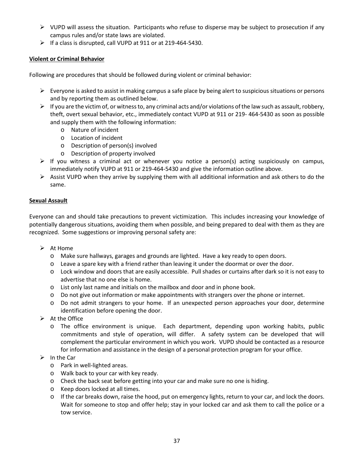- $\triangleright$  VUPD will assess the situation. Participants who refuse to disperse may be subject to prosecution if any campus rules and/or state laws are violated.
- $\triangleright$  If a class is disrupted, call VUPD at 911 or at 219-464-5430.

# **Violent or Criminal Behavior**

Following are procedures that should be followed during violent or criminal behavior:

- $\triangleright$  Everyone is asked to assist in making campus a safe place by being alert to suspicious situations or persons and by reporting them as outlined below.
- $\triangleright$  If you are the victim of, or witness to, any criminal acts and/or violations of the law such as assault, robbery, theft, overt sexual behavior, etc., immediately contact VUPD at 911 or 219- 464-5430 as soon as possible and supply them with the following information:
	- o Nature of incident
	- o Location of incident
	- o Description of person(s) involved
	- o Description of property involved
- $\triangleright$  If you witness a criminal act or whenever you notice a person(s) acting suspiciously on campus, immediately notify VUPD at 911 or 219-464-5430 and give the information outline above.
- $\triangleright$  Assist VUPD when they arrive by supplying them with all additional information and ask others to do the same.

#### **Sexual Assault**

Everyone can and should take precautions to prevent victimization. This includes increasing your knowledge of potentially dangerous situations, avoiding them when possible, and being prepared to deal with them as they are recognized. Some suggestions or improving personal safety are:

- $\triangleright$  At Home
	- o Make sure hallways, garages and grounds are lighted. Have a key ready to open doors.
	- o Leave a spare key with a friend rather than leaving it under the doormat or over the door.
	- o Lock window and doors that are easily accessible. Pull shades or curtains after dark so it is not easy to advertise that no one else is home.
	- o List only last name and initials on the mailbox and door and in phone book.
	- o Do not give out information or make appointments with strangers over the phone or internet.
	- o Do not admit strangers to your home. If an unexpected person approaches your door, determine identification before opening the door.
- $\triangleright$  At the Office
	- o The office environment is unique. Each department, depending upon working habits, public commitments and style of operation, will differ. A safety system can be developed that will complement the particular environment in which you work. VUPD should be contacted as a resource for information and assistance in the design of a personal protection program for your office.
- $\triangleright$  In the Car
	- o Park in well-lighted areas.
	- o Walk back to your car with key ready.
	- o Check the back seat before getting into your car and make sure no one is hiding.
	- o Keep doors locked at all times.
	- o If the car breaks down, raise the hood, put on emergency lights, return to your car, and lock the doors. Wait for someone to stop and offer help; stay in your locked car and ask them to call the police or a tow service.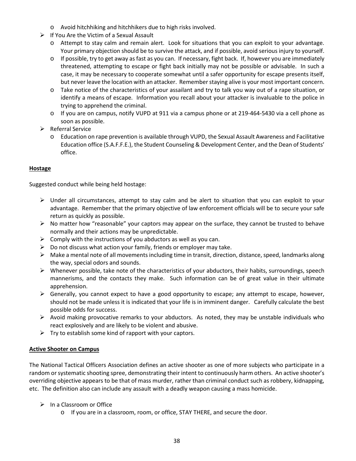- o Avoid hitchhiking and hitchhikers due to high risks involved.
- $\triangleright$  If You Are the Victim of a Sexual Assault
	- o Attempt to stay calm and remain alert. Look for situations that you can exploit to your advantage. Your primary objection should be to survive the attack, and if possible, avoid serious injury to yourself.
	- o If possible, try to get away as fast as you can. If necessary, fight back. If, however you are immediately threatened, attempting to escape or fight back initially may not be possible or advisable. In such a case, it may be necessary to cooperate somewhat until a safer opportunity for escape presents itself, but never leave the location with an attacker. Remember staying alive is your most important concern.
	- o Take notice of the characteristics of your assailant and try to talk you way out of a rape situation, or identify a means of escape. Information you recall about your attacker is invaluable to the police in trying to apprehend the criminal.
	- o If you are on campus, notify VUPD at 911 via a campus phone or at 219-464-5430 via a cell phone as soon as possible.
- $\triangleright$  Referral Service
	- o Education on rape prevention is available through VUPD, the Sexual Assault Awareness and Facilitative Education office (S.A.F.F.E.), the Student Counseling & Development Center, and the Dean of Students' office.

#### **Hostage**

Suggested conduct while being held hostage:

- $\triangleright$  Under all circumstances, attempt to stay calm and be alert to situation that you can exploit to your advantage. Remember that the primary objective of law enforcement officials will be to secure your safe return as quickly as possible.
- $\triangleright$  No matter how "reasonable" your captors may appear on the surface, they cannot be trusted to behave normally and their actions may be unpredictable.
- $\triangleright$  Comply with the instructions of you abductors as well as you can.
- $\triangleright$  Do not discuss what action your family, friends or employer may take.
- $\triangleright$  Make a mental note of all movements including time in transit, direction, distance, speed, landmarks along the way, special odors and sounds.
- $\triangleright$  Whenever possible, take note of the characteristics of your abductors, their habits, surroundings, speech mannerisms, and the contacts they make. Such information can be of great value in their ultimate apprehension.
- $\triangleright$  Generally, you cannot expect to have a good opportunity to escape; any attempt to escape, however, should not be made unless it is indicated that your life is in imminent danger. Carefully calculate the best possible odds for success.
- $\triangleright$  Avoid making provocative remarks to your abductors. As noted, they may be unstable individuals who react explosively and are likely to be violent and abusive.
- $\triangleright$  Try to establish some kind of rapport with your captors.

#### **Active Shooter on Campus**

The National Tactical Officers Association defines an active shooter as one of more subjects who participate in a random or systematic shooting spree, demonstrating their intent to continuously harm others. An active shooter's overriding objective appears to be that of mass murder, rather than criminal conduct such as robbery, kidnapping, etc. The definition also can include any assault with a deadly weapon causing a mass homicide.

- $\triangleright$  In a Classroom or Office
	- o If you are in a classroom, room, or office, STAY THERE, and secure the door.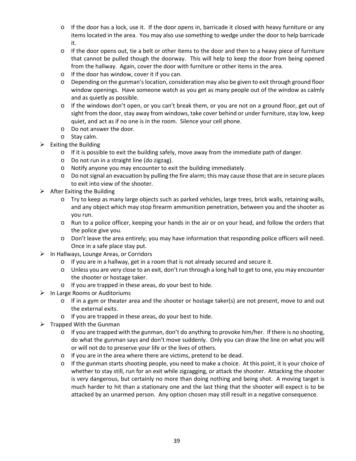- $\circ$  If the door has a lock, use it. If the door opens in, barricade it closed with heavy furniture or any items located in the area. You may also use something to wedge under the door to help barricade it.
- $\circ$  If the door opens out, tie a belt or other items to the door and then to a heavy piece of furniture that cannot be pulled though the doorway. This will help to keep the door from being opened from the hallway. Again, cover the door with furniture or other items in the area.
- o If the door has window, cover it if you can.
- o Depending on the gunman's location, consideration may also be given to exit through ground floor window openings. Have someone watch as you get as many people out of the window as calmly and as quietly as possible.
- $\circ$  If the windows don't open, or you can't break them, or you are not on a ground floor, get out of sight from the door, stay away from windows, take cover behind or under furniture, stay low, keep quiet, and act as if no one is in the room. Silence your cell phone.
- o Do not answer the door.
- o Stay calm.
- $\triangleright$  Exiting the Building
	- $\circ$  If it is possible to exit the building safely, move away from the immediate path of danger.
	- o Do not run in a straight line (do zigzag).
	- o Notify anyone you may encounter to exit the building immediately.
	- o Do not signal an evacuation by pulling the fire alarm; this may cause those that are in secure places to exit into view of the shooter.
- $\triangleright$  After Exiting the Building
	- o Try to keep as many large objects such as parked vehicles, large trees, brick walls, retaining walls, and any object which may stop firearm ammunition penetration, between you and the shooter as you run.
	- o Run to a police officer, keeping your hands in the air or on your head, and follow the orders that the police give you.
	- o Don't leave the area entirely; you may have information that responding police officers will need. Once in a safe place stay put.
- $\triangleright$  In Hallways, Lounge Areas, or Corridors
	- o If you are in a hallway, get in a room that is not already secured and secure it.
	- o Unless you are very close to an exit, don't run through a long hall to get to one, you may encounter the shooter or hostage taker.
	- o If you are trapped in these areas, do your best to hide.
- $\triangleright$  In Large Rooms or Auditoriums
	- o If in a gym or theater area and the shooter or hostage taker(s) are not present, move to and out the external exits.
	- o If you are trapped in these areas, do your best to hide.
- $\triangleright$  Trapped With the Gunman
	- $\circ$  If you are trapped with the gunman, don't do anything to provoke him/her. If there is no shooting, do what the gunman says and don't move suddenly. Only you can draw the line on what you will or will not do to preserve your life or the lives of others.
	- o If you are in the area where there are victims, pretend to be dead.
	- o If the gunman starts shooting people, you need to make a choice. At this point, it is your choice of whether to stay still, run for an exit while zigzagging, or attack the shooter. Attacking the shooter is very dangerous, but certainly no more than doing nothing and being shot. A moving target is much harder to hit than a stationary one and the last thing that the shooter will expect is to be attacked by an unarmed person. Any option chosen may still result in a negative consequence.